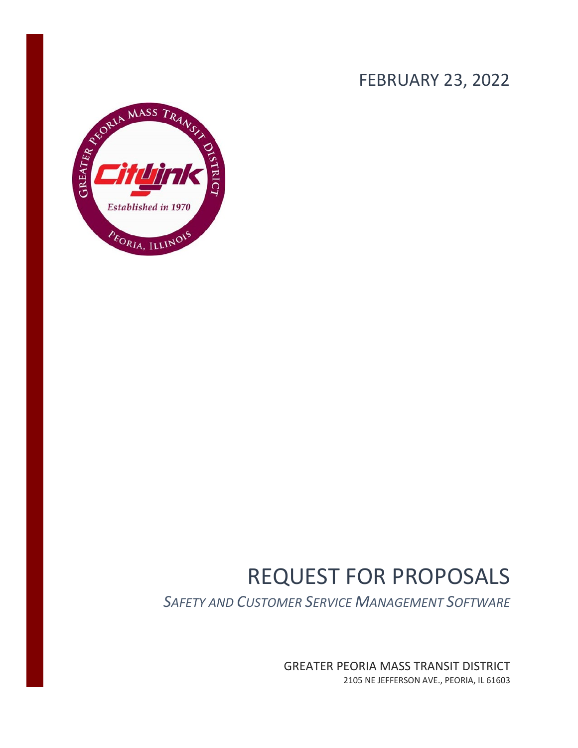## FEBRUARY 23, 2022



# REQUEST FOR PROPOSALS

*SAFETY AND CUSTOMER SERVICE MANAGEMENT SOFTWARE*

GREATER PEORIA MASS TRANSIT DISTRICT 2105 NE JEFFERSON AVE., PEORIA, IL 61603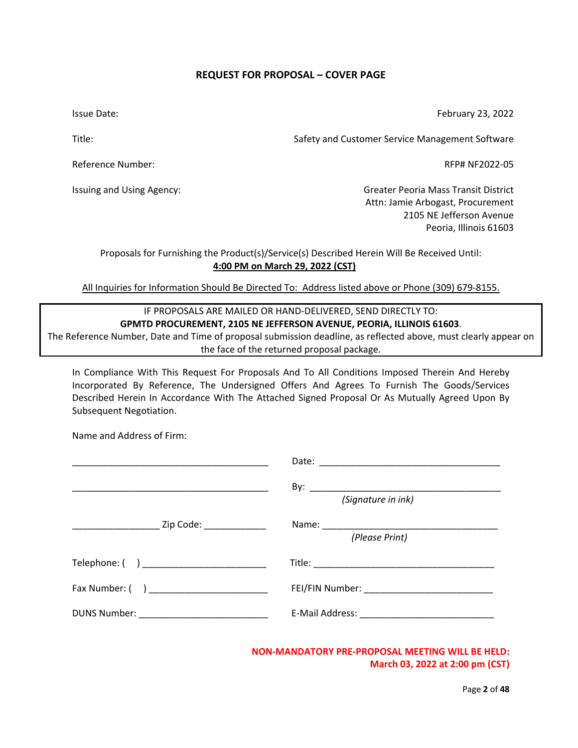## **REQUEST FOR PROPOSAL – COVER PAGE**

<span id="page-1-0"></span>Issue Date:

February 23, 2022

Title:

Reference Number:

Issuing and Using Agency:

Safety and Customer Service Management Software

RFP# NF2022-05

Greater Peoria Mass Transit District Attn: Jamie Arbogast, Procurement 2105 NE Jefferson Avenue Peoria, Illinois 61603

Proposals for Furnishing the Product(s)/Service(s) Described Herein Will Be Received Until: **4:00 PM on March 29, 2022 (CST)**

All Inquiries for Information Should Be Directed To: Address listed above or Phone (309) 679-8155.

## IF PROPOSALS ARE MAILED OR HAND-DELIVERED, SEND DIRECTLY TO: **GPMTD PROCUREMENT, 2105 NE JEFFERSON AVENUE, PEORIA, ILLINOIS 61603**.

The Reference Number, Date and Time of proposal submission deadline, as reflected above, must clearly appear on the face of the returned proposal package.

In Compliance With This Request For Proposals And To All Conditions Imposed Therein And Hereby Incorporated By Reference, The Undersigned Offers And Agrees To Furnish The Goods/Services Described Herein In Accordance With The Attached Signed Proposal Or As Mutually Agreed Upon By Subsequent Negotiation.

Name and Address of Firm:

|                                                      | (Signature in ink) |
|------------------------------------------------------|--------------------|
| _________________________ Zip Code: ________________ | (Please Print)     |
| Telephone: ( ) ___________________________           |                    |
| Fax Number: ( ) ___________________________          |                    |
|                                                      |                    |

**NON-MANDATORY PRE-PROPOSAL MEETING WILL BE HELD: March 03, 2022 at 2:00 pm (CST)**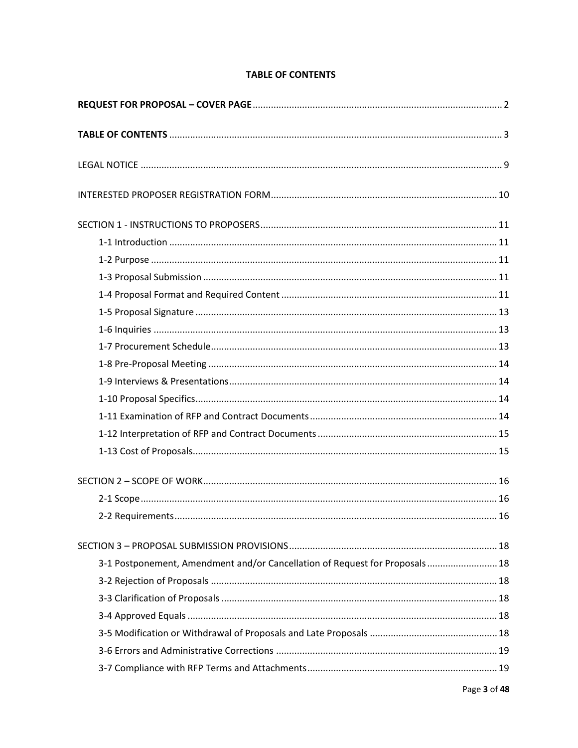## **TABLE OF CONTENTS**

<span id="page-2-0"></span>

| 3-1 Postponement, Amendment and/or Cancellation of Request for Proposals 18 |  |
|-----------------------------------------------------------------------------|--|
|                                                                             |  |
|                                                                             |  |
|                                                                             |  |
|                                                                             |  |
|                                                                             |  |
|                                                                             |  |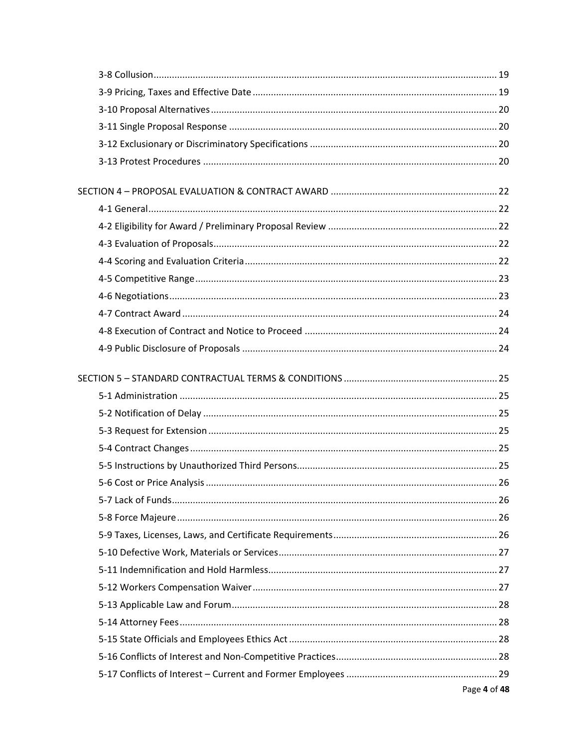| Page 4 of 48 |
|--------------|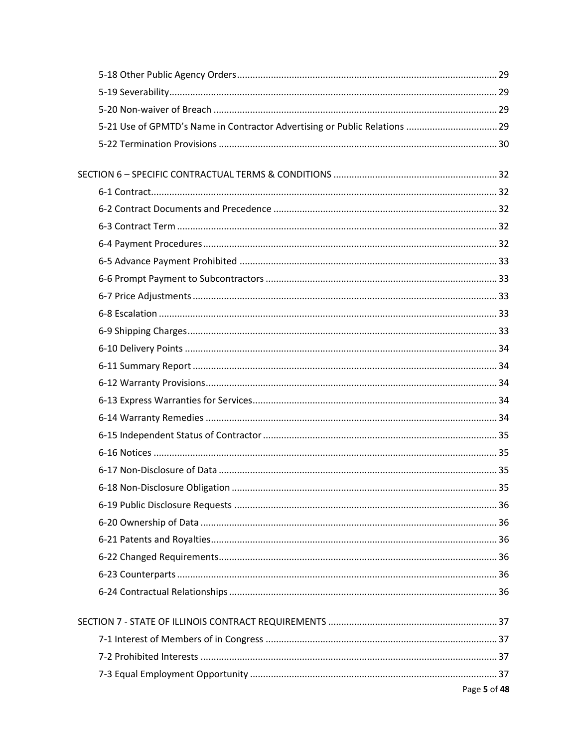| 5-21 Use of GPMTD's Name in Contractor Advertising or Public Relations  29 |    |
|----------------------------------------------------------------------------|----|
|                                                                            |    |
|                                                                            |    |
|                                                                            |    |
|                                                                            |    |
|                                                                            |    |
|                                                                            |    |
|                                                                            |    |
|                                                                            |    |
|                                                                            |    |
|                                                                            |    |
|                                                                            |    |
|                                                                            |    |
|                                                                            |    |
|                                                                            |    |
|                                                                            |    |
|                                                                            |    |
|                                                                            |    |
|                                                                            |    |
|                                                                            |    |
|                                                                            |    |
|                                                                            | 35 |
|                                                                            |    |
|                                                                            |    |
|                                                                            |    |
|                                                                            |    |
|                                                                            |    |
|                                                                            |    |
|                                                                            |    |
|                                                                            |    |
|                                                                            |    |
|                                                                            |    |
| Page 5 of 48                                                               |    |
|                                                                            |    |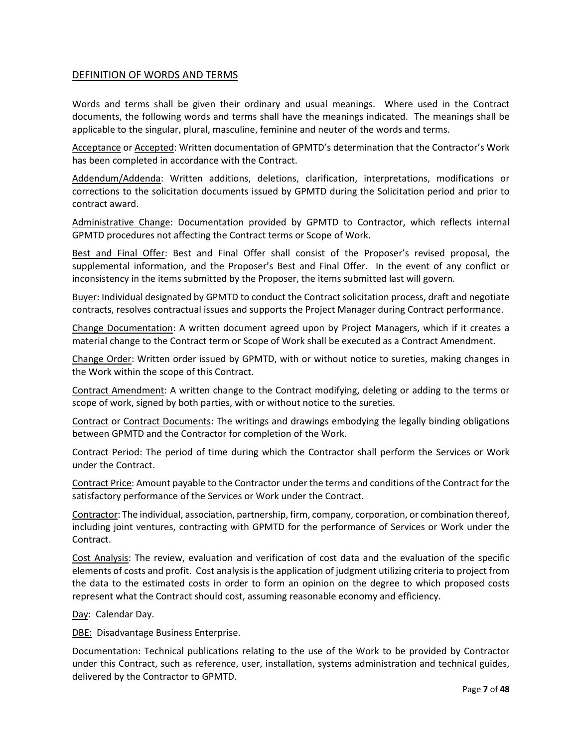#### DEFINITION OF WORDS AND TERMS

Words and terms shall be given their ordinary and usual meanings. Where used in the Contract documents, the following words and terms shall have the meanings indicated. The meanings shall be applicable to the singular, plural, masculine, feminine and neuter of the words and terms.

Acceptance or Accepted: Written documentation of GPMTD's determination that the Contractor's Work has been completed in accordance with the Contract.

Addendum/Addenda: Written additions, deletions, clarification, interpretations, modifications or corrections to the solicitation documents issued by GPMTD during the Solicitation period and prior to contract award.

Administrative Change: Documentation provided by GPMTD to Contractor, which reflects internal GPMTD procedures not affecting the Contract terms or Scope of Work.

Best and Final Offer: Best and Final Offer shall consist of the Proposer's revised proposal, the supplemental information, and the Proposer's Best and Final Offer. In the event of any conflict or inconsistency in the items submitted by the Proposer, the items submitted last will govern.

Buyer: Individual designated by GPMTD to conduct the Contract solicitation process, draft and negotiate contracts, resolves contractual issues and supports the Project Manager during Contract performance.

Change Documentation: A written document agreed upon by Project Managers, which if it creates a material change to the Contract term or Scope of Work shall be executed as a Contract Amendment.

Change Order: Written order issued by GPMTD, with or without notice to sureties, making changes in the Work within the scope of this Contract.

Contract Amendment: A written change to the Contract modifying, deleting or adding to the terms or scope of work, signed by both parties, with or without notice to the sureties.

Contract or Contract Documents: The writings and drawings embodying the legally binding obligations between GPMTD and the Contractor for completion of the Work.

Contract Period: The period of time during which the Contractor shall perform the Services or Work under the Contract.

Contract Price: Amount payable to the Contractor under the terms and conditions of the Contract for the satisfactory performance of the Services or Work under the Contract.

Contractor: The individual, association, partnership, firm, company, corporation, or combination thereof, including joint ventures, contracting with GPMTD for the performance of Services or Work under the Contract.

Cost Analysis: The review, evaluation and verification of cost data and the evaluation of the specific elements of costs and profit. Cost analysis is the application of judgment utilizing criteria to project from the data to the estimated costs in order to form an opinion on the degree to which proposed costs represent what the Contract should cost, assuming reasonable economy and efficiency.

Day: Calendar Day.

DBE: Disadvantage Business Enterprise.

Documentation: Technical publications relating to the use of the Work to be provided by Contractor under this Contract, such as reference, user, installation, systems administration and technical guides, delivered by the Contractor to GPMTD.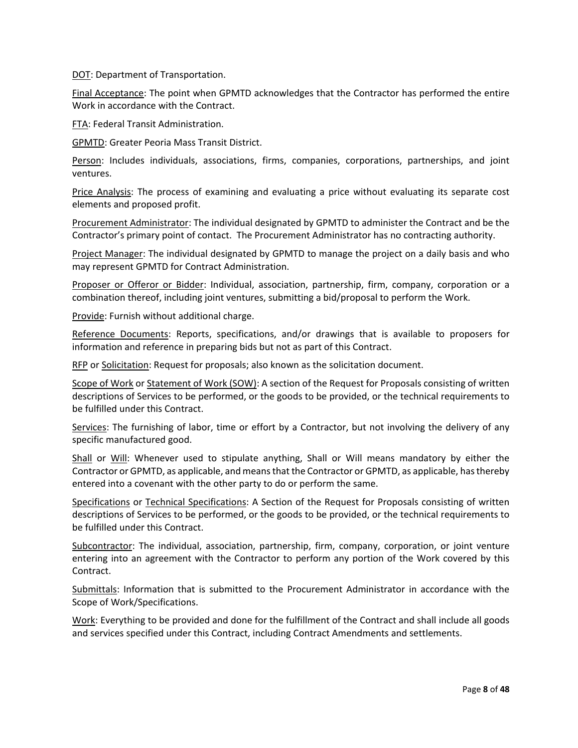DOT: Department of Transportation.

Final Acceptance: The point when GPMTD acknowledges that the Contractor has performed the entire Work in accordance with the Contract.

FTA: Federal Transit Administration.

GPMTD: Greater Peoria Mass Transit District.

Person: Includes individuals, associations, firms, companies, corporations, partnerships, and joint ventures.

Price Analysis: The process of examining and evaluating a price without evaluating its separate cost elements and proposed profit.

Procurement Administrator: The individual designated by GPMTD to administer the Contract and be the Contractor's primary point of contact. The Procurement Administrator has no contracting authority.

Project Manager: The individual designated by GPMTD to manage the project on a daily basis and who may represent GPMTD for Contract Administration.

Proposer or Offeror or Bidder: Individual, association, partnership, firm, company, corporation or a combination thereof, including joint ventures, submitting a bid/proposal to perform the Work.

Provide: Furnish without additional charge.

Reference Documents: Reports, specifications, and/or drawings that is available to proposers for information and reference in preparing bids but not as part of this Contract.

RFP or Solicitation: Request for proposals; also known as the solicitation document.

Scope of Work or Statement of Work (SOW): A section of the Request for Proposals consisting of written descriptions of Services to be performed, or the goods to be provided, or the technical requirements to be fulfilled under this Contract.

Services: The furnishing of labor, time or effort by a Contractor, but not involving the delivery of any specific manufactured good.

Shall or Will: Whenever used to stipulate anything, Shall or Will means mandatory by either the Contractor or GPMTD, as applicable, and means that the Contractor or GPMTD, as applicable, has thereby entered into a covenant with the other party to do or perform the same.

Specifications or Technical Specifications: A Section of the Request for Proposals consisting of written descriptions of Services to be performed, or the goods to be provided, or the technical requirements to be fulfilled under this Contract.

Subcontractor: The individual, association, partnership, firm, company, corporation, or joint venture entering into an agreement with the Contractor to perform any portion of the Work covered by this Contract.

Submittals: Information that is submitted to the Procurement Administrator in accordance with the Scope of Work/Specifications.

Work: Everything to be provided and done for the fulfillment of the Contract and shall include all goods and services specified under this Contract, including Contract Amendments and settlements.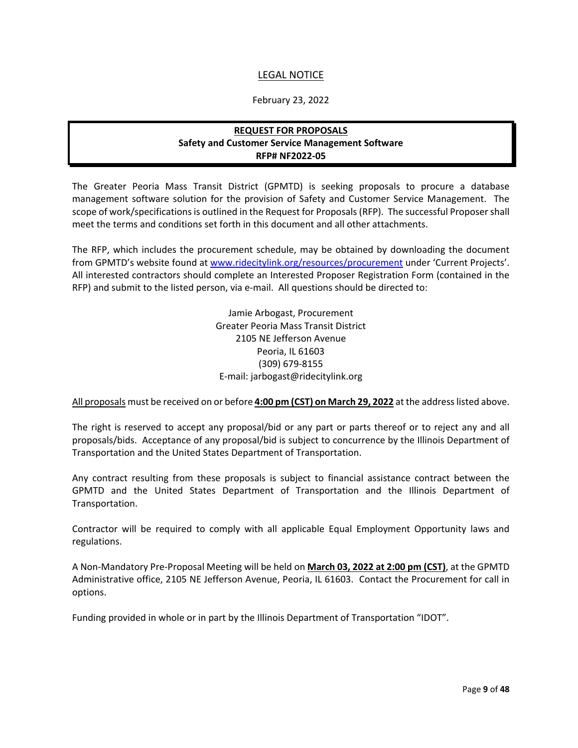## LEGAL NOTICE

#### February 23, 2022

## **REQUEST FOR PROPOSALS Safety and Customer Service Management Software RFP# NF2022-05**

<span id="page-8-0"></span>The Greater Peoria Mass Transit District (GPMTD) is seeking proposals to procure a database management software solution for the provision of Safety and Customer Service Management. The scope of work/specifications is outlined in the Request for Proposals (RFP). The successful Proposer shall meet the terms and conditions set forth in this document and all other attachments.

The RFP, which includes the procurement schedule, may be obtained by downloading the document from GPMTD's website found at [www.ridecitylink.org/resources/procurement](http://www.ridecitylink.org/resources/procurement) under 'Current Projects'. All interested contractors should complete an Interested Proposer Registration Form (contained in the RFP) and submit to the listed person, via e-mail. All questions should be directed to:

> Jamie Arbogast, Procurement Greater Peoria Mass Transit District 2105 NE Jefferson Avenue Peoria, IL 61603 (309) 679-8155 E-mail: jarbogast@ridecitylink.org

All proposals must be received on or before **4:00 pm (CST) on March 29, 2022** at the address listed above.

The right is reserved to accept any proposal/bid or any part or parts thereof or to reject any and all proposals/bids. Acceptance of any proposal/bid is subject to concurrence by the Illinois Department of Transportation and the United States Department of Transportation.

Any contract resulting from these proposals is subject to financial assistance contract between the GPMTD and the United States Department of Transportation and the Illinois Department of Transportation.

Contractor will be required to comply with all applicable Equal Employment Opportunity laws and regulations.

A Non-Mandatory Pre-Proposal Meeting will be held on **March 03, 2022 at 2:00 pm (CST)**, at the GPMTD Administrative office, 2105 NE Jefferson Avenue, Peoria, IL 61603. Contact the Procurement for call in options.

Funding provided in whole or in part by the Illinois Department of Transportation "IDOT".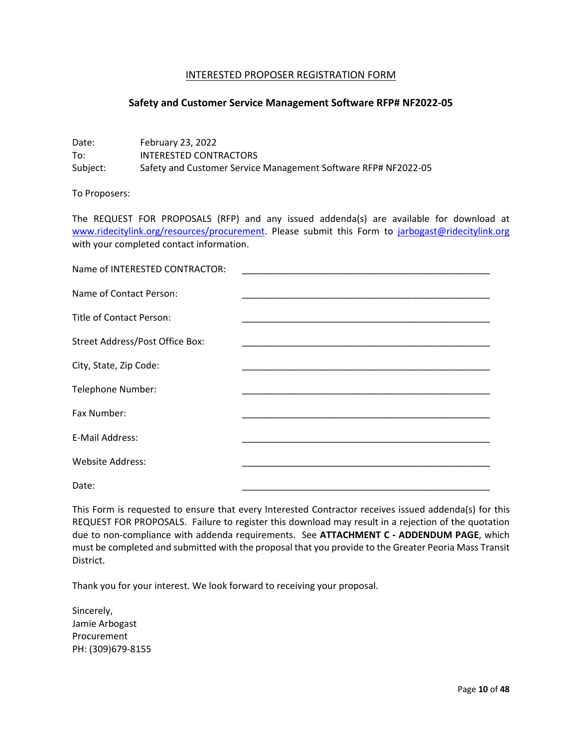#### INTERESTED PROPOSER REGISTRATION FORM

#### <span id="page-9-0"></span>**Safety and Customer Service Management Software RFP# NF2022-05**

Date: February 23, 2022 To: INTERESTED CONTRACTORS Subject: Safety and Customer Service Management Software RFP# NF2022-05

To Proposers:

The REQUEST FOR PROPOSALS (RFP) and any issued addenda(s) are available for download at [www.ridecitylink.org/resources/procurement.](http://www.ridecitylink.org/resources/procurement) Please submit this Form to [jarbogast@ridecitylink.org](mailto:jarbogast@ridecitylink.org) with your completed contact information.

| Name of INTERESTED CONTRACTOR:  |                                                                                                                       |
|---------------------------------|-----------------------------------------------------------------------------------------------------------------------|
| Name of Contact Person:         | <u> 1989 - Johann John Stone, markin amerikan bahasa dan berasal dalam bahasa dalam bahasa dalam bahasa dalam bah</u> |
| Title of Contact Person:        | the control of the control of the control of                                                                          |
| Street Address/Post Office Box: |                                                                                                                       |
| City, State, Zip Code:          |                                                                                                                       |
| Telephone Number:               |                                                                                                                       |
| Fax Number:                     |                                                                                                                       |
| E-Mail Address:                 |                                                                                                                       |
| <b>Website Address:</b>         |                                                                                                                       |
| Date:                           |                                                                                                                       |

This Form is requested to ensure that every Interested Contractor receives issued addenda(s) for this REQUEST FOR PROPOSALS. Failure to register this download may result in a rejection of the quotation due to non-compliance with addenda requirements. See **ATTACHMENT C - ADDENDUM PAGE**, which must be completed and submitted with the proposal that you provide to the Greater Peoria Mass Transit District.

Thank you for your interest. We look forward to receiving your proposal.

Sincerely, Jamie Arbogast Procurement PH: (309)679-8155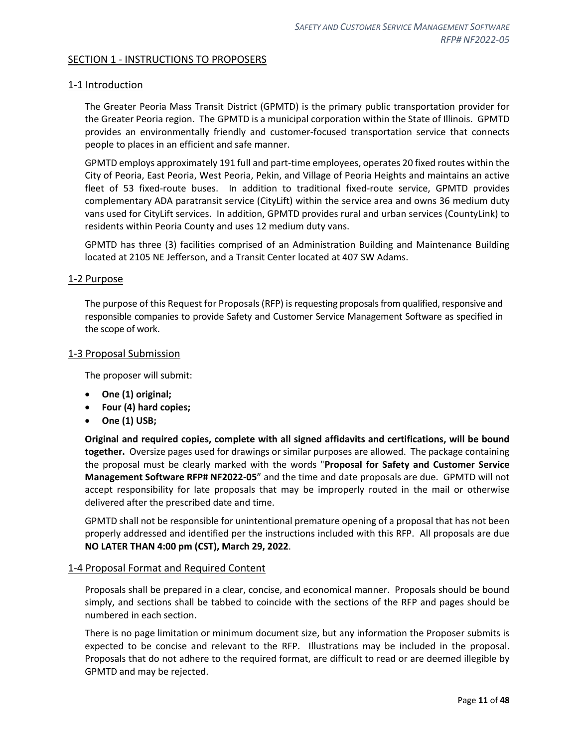## <span id="page-10-0"></span>SECTION 1 - INSTRUCTIONS TO PROPOSERS

## <span id="page-10-1"></span>1-1 Introduction

The Greater Peoria Mass Transit District (GPMTD) is the primary public transportation provider for the Greater Peoria region. The GPMTD is a municipal corporation within the State of Illinois. GPMTD provides an environmentally friendly and customer-focused transportation service that connects people to places in an efficient and safe manner.

GPMTD employs approximately 191 full and part-time employees, operates 20 fixed routes within the City of Peoria, East Peoria, West Peoria, Pekin, and Village of Peoria Heights and maintains an active fleet of 53 fixed-route buses. In addition to traditional fixed-route service, GPMTD provides complementary ADA paratransit service (CityLift) within the service area and owns 36 medium duty vans used for CityLift services. In addition, GPMTD provides rural and urban services (CountyLink) to residents within Peoria County and uses 12 medium duty vans.

GPMTD has three (3) facilities comprised of an Administration Building and Maintenance Building located at 2105 NE Jefferson, and a Transit Center located at 407 SW Adams.

#### <span id="page-10-2"></span>1-2 Purpose

The purpose of this Request for Proposals (RFP) is requesting proposals from qualified, responsive and responsible companies to provide Safety and Customer Service Management Software as specified in the scope of work.

#### <span id="page-10-3"></span>1-3 Proposal Submission

The proposer will submit:

- **One (1) original;**
- **Four (4) hard copies;**
- **One (1) USB;**

**Original and required copies, complete with all signed affidavits and certifications, will be bound together.** Oversize pages used for drawings or similar purposes are allowed. The package containing the proposal must be clearly marked with the words "**Proposal for Safety and Customer Service Management Software RFP# NF2022-05**" and the time and date proposals are due. GPMTD will not accept responsibility for late proposals that may be improperly routed in the mail or otherwise delivered after the prescribed date and time.

GPMTD shall not be responsible for unintentional premature opening of a proposal that has not been properly addressed and identified per the instructions included with this RFP. All proposals are due **NO LATER THAN 4:00 pm (CST), March 29, 2022**.

#### <span id="page-10-4"></span>1-4 Proposal Format and Required Content

Proposals shall be prepared in a clear, concise, and economical manner. Proposals should be bound simply, and sections shall be tabbed to coincide with the sections of the RFP and pages should be numbered in each section.

There is no page limitation or minimum document size, but any information the Proposer submits is expected to be concise and relevant to the RFP. Illustrations may be included in the proposal. Proposals that do not adhere to the required format, are difficult to read or are deemed illegible by GPMTD and may be rejected.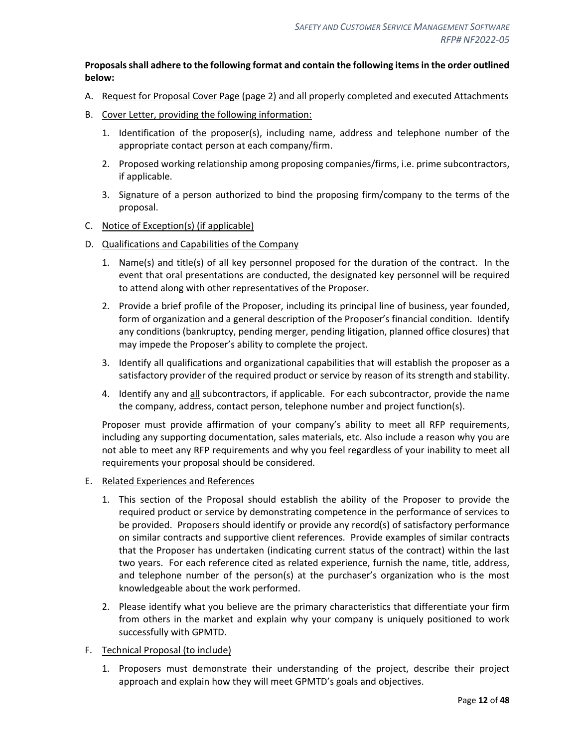## **Proposals shall adhere to the following format and contain the following items in the order outlined below:**

- A. Request for Proposal Cover Page (page 2) and all properly completed and executed Attachments
- B. Cover Letter, providing the following information:
	- 1. Identification of the proposer(s), including name, address and telephone number of the appropriate contact person at each company/firm.
	- 2. Proposed working relationship among proposing companies/firms, i.e. prime subcontractors, if applicable.
	- 3. Signature of a person authorized to bind the proposing firm/company to the terms of the proposal.
- C. Notice of Exception(s) (if applicable)
- D. Qualifications and Capabilities of the Company
	- 1. Name(s) and title(s) of all key personnel proposed for the duration of the contract. In the event that oral presentations are conducted, the designated key personnel will be required to attend along with other representatives of the Proposer.
	- 2. Provide a brief profile of the Proposer, including its principal line of business, year founded, form of organization and a general description of the Proposer's financial condition. Identify any conditions (bankruptcy, pending merger, pending litigation, planned office closures) that may impede the Proposer's ability to complete the project.
	- 3. Identify all qualifications and organizational capabilities that will establish the proposer as a satisfactory provider of the required product or service by reason of its strength and stability.
	- 4. Identify any and all subcontractors, if applicable. For each subcontractor, provide the name the company, address, contact person, telephone number and project function(s).

Proposer must provide affirmation of your company's ability to meet all RFP requirements, including any supporting documentation, sales materials, etc. Also include a reason why you are not able to meet any RFP requirements and why you feel regardless of your inability to meet all requirements your proposal should be considered.

#### E. Related Experiences and References

- 1. This section of the Proposal should establish the ability of the Proposer to provide the required product or service by demonstrating competence in the performance of services to be provided. Proposers should identify or provide any record(s) of satisfactory performance on similar contracts and supportive client references. Provide examples of similar contracts that the Proposer has undertaken (indicating current status of the contract) within the last two years. For each reference cited as related experience, furnish the name, title, address, and telephone number of the person(s) at the purchaser's organization who is the most knowledgeable about the work performed.
- 2. Please identify what you believe are the primary characteristics that differentiate your firm from others in the market and explain why your company is uniquely positioned to work successfully with GPMTD.
- F. Technical Proposal (to include)
	- 1. Proposers must demonstrate their understanding of the project, describe their project approach and explain how they will meet GPMTD's goals and objectives.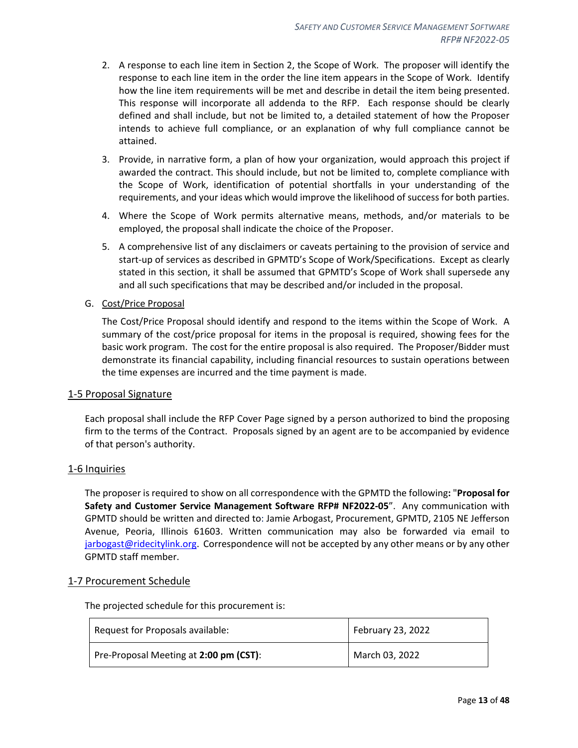- 2. A response to each line item in Section 2, the Scope of Work. The proposer will identify the response to each line item in the order the line item appears in the Scope of Work. Identify how the line item requirements will be met and describe in detail the item being presented. This response will incorporate all addenda to the RFP. Each response should be clearly defined and shall include, but not be limited to, a detailed statement of how the Proposer intends to achieve full compliance, or an explanation of why full compliance cannot be attained.
- 3. Provide, in narrative form, a plan of how your organization, would approach this project if awarded the contract. This should include, but not be limited to, complete compliance with the Scope of Work, identification of potential shortfalls in your understanding of the requirements, and your ideas which would improve the likelihood of success for both parties.
- 4. Where the Scope of Work permits alternative means, methods, and/or materials to be employed, the proposal shall indicate the choice of the Proposer.
- 5. A comprehensive list of any disclaimers or caveats pertaining to the provision of service and start-up of services as described in GPMTD's Scope of Work/Specifications. Except as clearly stated in this section, it shall be assumed that GPMTD's Scope of Work shall supersede any and all such specifications that may be described and/or included in the proposal.
- G. Cost/Price Proposal

The Cost/Price Proposal should identify and respond to the items within the Scope of Work. A summary of the cost/price proposal for items in the proposal is required, showing fees for the basic work program. The cost for the entire proposal is also required. The Proposer/Bidder must demonstrate its financial capability, including financial resources to sustain operations between the time expenses are incurred and the time payment is made.

#### <span id="page-12-0"></span>1-5 Proposal Signature

Each proposal shall include the RFP Cover Page signed by a person authorized to bind the proposing firm to the terms of the Contract. Proposals signed by an agent are to be accompanied by evidence of that person's authority.

#### <span id="page-12-1"></span>1-6 Inquiries

The proposer is required to show on all correspondence with the GPMTD the following**:** "**Proposal for Safety and Customer Service Management Software RFP# NF2022-05**". Any communication with GPMTD should be written and directed to: Jamie Arbogast, Procurement, GPMTD, 2105 NE Jefferson Avenue, Peoria, Illinois 61603. Written communication may also be forwarded via email to [jarbogast@ridecitylink.org.](mailto:jarbogast@ridecitylink.org) Correspondence will not be accepted by any other means or by any other GPMTD staff member.

#### <span id="page-12-2"></span>1-7 Procurement Schedule

The projected schedule for this procurement is:

| Request for Proposals available:       | February 23, 2022 |
|----------------------------------------|-------------------|
| Pre-Proposal Meeting at 2:00 pm (CST): | March 03, 2022    |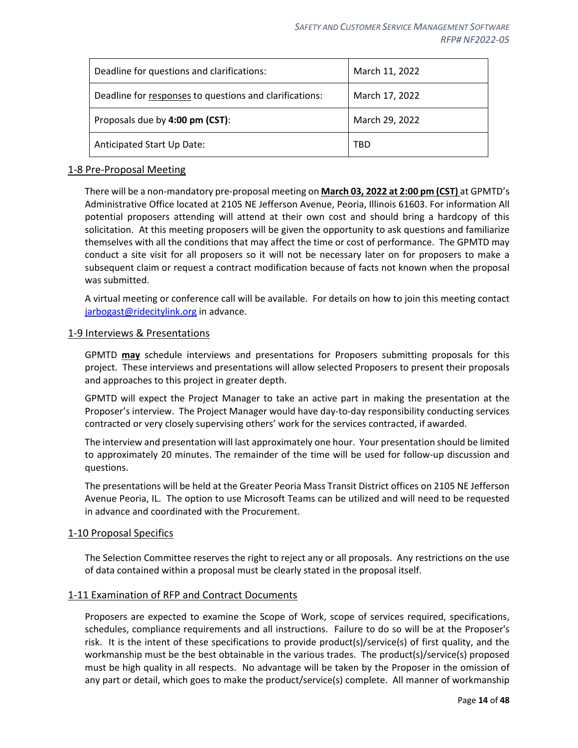| Deadline for questions and clarifications:              | March 11, 2022 |
|---------------------------------------------------------|----------------|
| Deadline for responses to questions and clarifications: | March 17, 2022 |
| Proposals due by 4:00 pm (CST):                         | March 29, 2022 |
| Anticipated Start Up Date:                              | TBD            |

#### <span id="page-13-0"></span>1-8 Pre-Proposal Meeting

There will be a non-mandatory pre-proposal meeting on **March 03, 2022 at 2:00 pm (CST)** at GPMTD's Administrative Office located at 2105 NE Jefferson Avenue, Peoria, Illinois 61603. For information All potential proposers attending will attend at their own cost and should bring a hardcopy of this solicitation. At this meeting proposers will be given the opportunity to ask questions and familiarize themselves with all the conditions that may affect the time or cost of performance. The GPMTD may conduct a site visit for all proposers so it will not be necessary later on for proposers to make a subsequent claim or request a contract modification because of facts not known when the proposal was submitted.

A virtual meeting or conference call will be available. For details on how to join this meeting contact [jarbogast@ridecitylink.org](mailto:jarbogast@ridecitylink.org) in advance.

#### <span id="page-13-1"></span>1-9 Interviews & Presentations

GPMTD **may** schedule interviews and presentations for Proposers submitting proposals for this project. These interviews and presentations will allow selected Proposers to present their proposals and approaches to this project in greater depth.

GPMTD will expect the Project Manager to take an active part in making the presentation at the Proposer's interview. The Project Manager would have day-to-day responsibility conducting services contracted or very closely supervising others' work for the services contracted, if awarded.

The interview and presentation will last approximately one hour. Your presentation should be limited to approximately 20 minutes. The remainder of the time will be used for follow-up discussion and questions.

The presentations will be held at the Greater Peoria Mass Transit District offices on 2105 NE Jefferson Avenue Peoria, IL. The option to use Microsoft Teams can be utilized and will need to be requested in advance and coordinated with the Procurement.

#### <span id="page-13-2"></span>1-10 Proposal Specifics

The Selection Committee reserves the right to reject any or all proposals. Any restrictions on the use of data contained within a proposal must be clearly stated in the proposal itself.

#### <span id="page-13-3"></span>1-11 Examination of RFP and Contract Documents

Proposers are expected to examine the Scope of Work, scope of services required, specifications, schedules, compliance requirements and all instructions. Failure to do so will be at the Proposer's risk. It is the intent of these specifications to provide product(s)/service(s) of first quality, and the workmanship must be the best obtainable in the various trades. The product(s)/service(s) proposed must be high quality in all respects. No advantage will be taken by the Proposer in the omission of any part or detail, which goes to make the product/service(s) complete. All manner of workmanship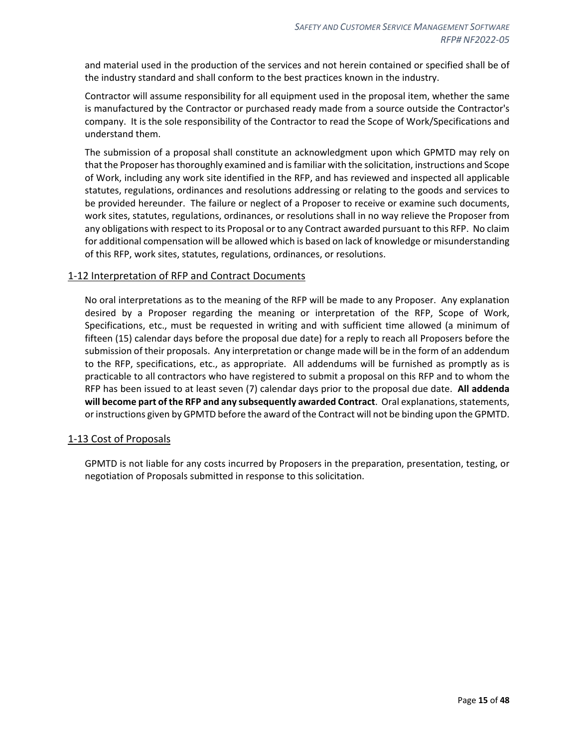and material used in the production of the services and not herein contained or specified shall be of the industry standard and shall conform to the best practices known in the industry.

Contractor will assume responsibility for all equipment used in the proposal item, whether the same is manufactured by the Contractor or purchased ready made from a source outside the Contractor's company. It is the sole responsibility of the Contractor to read the Scope of Work/Specifications and understand them.

The submission of a proposal shall constitute an acknowledgment upon which GPMTD may rely on that the Proposer has thoroughly examined and is familiar with the solicitation, instructions and Scope of Work, including any work site identified in the RFP, and has reviewed and inspected all applicable statutes, regulations, ordinances and resolutions addressing or relating to the goods and services to be provided hereunder. The failure or neglect of a Proposer to receive or examine such documents, work sites, statutes, regulations, ordinances, or resolutions shall in no way relieve the Proposer from any obligations with respect to its Proposal or to any Contract awarded pursuant to this RFP. No claim for additional compensation will be allowed which is based on lack of knowledge or misunderstanding of this RFP, work sites, statutes, regulations, ordinances, or resolutions.

## <span id="page-14-0"></span>1-12 Interpretation of RFP and Contract Documents

No oral interpretations as to the meaning of the RFP will be made to any Proposer. Any explanation desired by a Proposer regarding the meaning or interpretation of the RFP, Scope of Work, Specifications, etc., must be requested in writing and with sufficient time allowed (a minimum of fifteen (15) calendar days before the proposal due date) for a reply to reach all Proposers before the submission of their proposals. Any interpretation or change made will be in the form of an addendum to the RFP, specifications, etc., as appropriate. All addendums will be furnished as promptly as is practicable to all contractors who have registered to submit a proposal on this RFP and to whom the RFP has been issued to at least seven (7) calendar days prior to the proposal due date. **All addenda will become part of the RFP and any subsequently awarded Contract**. Oral explanations, statements, or instructions given by GPMTD before the award of the Contract will not be binding upon the GPMTD.

#### <span id="page-14-1"></span>1-13 Cost of Proposals

GPMTD is not liable for any costs incurred by Proposers in the preparation, presentation, testing, or negotiation of Proposals submitted in response to this solicitation.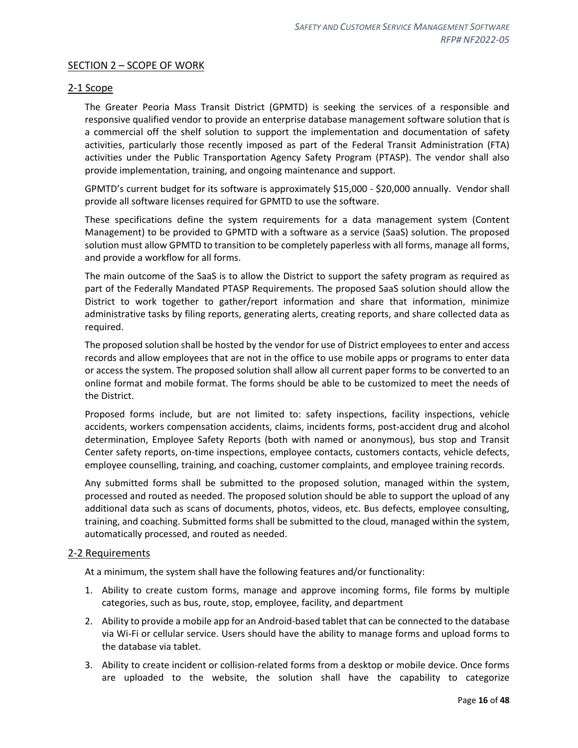## <span id="page-15-0"></span>SECTION 2 – SCOPE OF WORK

### <span id="page-15-1"></span>2-1 Scope

The Greater Peoria Mass Transit District (GPMTD) is seeking the services of a responsible and responsive qualified vendor to provide an enterprise database management software solution that is a commercial off the shelf solution to support the implementation and documentation of safety activities, particularly those recently imposed as part of the Federal Transit Administration (FTA) activities under the Public Transportation Agency Safety Program (PTASP). The vendor shall also provide implementation, training, and ongoing maintenance and support.

GPMTD's current budget for its software is approximately \$15,000 - \$20,000 annually. Vendor shall provide all software licenses required for GPMTD to use the software.

These specifications define the system requirements for a data management system (Content Management) to be provided to GPMTD with a software as a service (SaaS) solution. The proposed solution must allow GPMTD to transition to be completely paperless with all forms, manage all forms, and provide a workflow for all forms.

The main outcome of the SaaS is to allow the District to support the safety program as required as part of the Federally Mandated PTASP Requirements. The proposed SaaS solution should allow the District to work together to gather/report information and share that information, minimize administrative tasks by filing reports, generating alerts, creating reports, and share collected data as required.

The proposed solution shall be hosted by the vendor for use of District employees to enter and access records and allow employees that are not in the office to use mobile apps or programs to enter data or access the system. The proposed solution shall allow all current paper forms to be converted to an online format and mobile format. The forms should be able to be customized to meet the needs of the District.

Proposed forms include, but are not limited to: safety inspections, facility inspections, vehicle accidents, workers compensation accidents, claims, incidents forms, post-accident drug and alcohol determination, Employee Safety Reports (both with named or anonymous), bus stop and Transit Center safety reports, on-time inspections, employee contacts, customers contacts, vehicle defects, employee counselling, training, and coaching, customer complaints, and employee training records.

Any submitted forms shall be submitted to the proposed solution, managed within the system, processed and routed as needed. The proposed solution should be able to support the upload of any additional data such as scans of documents, photos, videos, etc. Bus defects, employee consulting, training, and coaching. Submitted forms shall be submitted to the cloud, managed within the system, automatically processed, and routed as needed.

#### <span id="page-15-2"></span>2-2 Requirements

At a minimum, the system shall have the following features and/or functionality:

- 1. Ability to create custom forms, manage and approve incoming forms, file forms by multiple categories, such as bus, route, stop, employee, facility, and department
- 2. Ability to provide a mobile app for an Android-based tablet that can be connected to the database via Wi-Fi or cellular service. Users should have the ability to manage forms and upload forms to the database via tablet.
- 3. Ability to create incident or collision-related forms from a desktop or mobile device. Once forms are uploaded to the website, the solution shall have the capability to categorize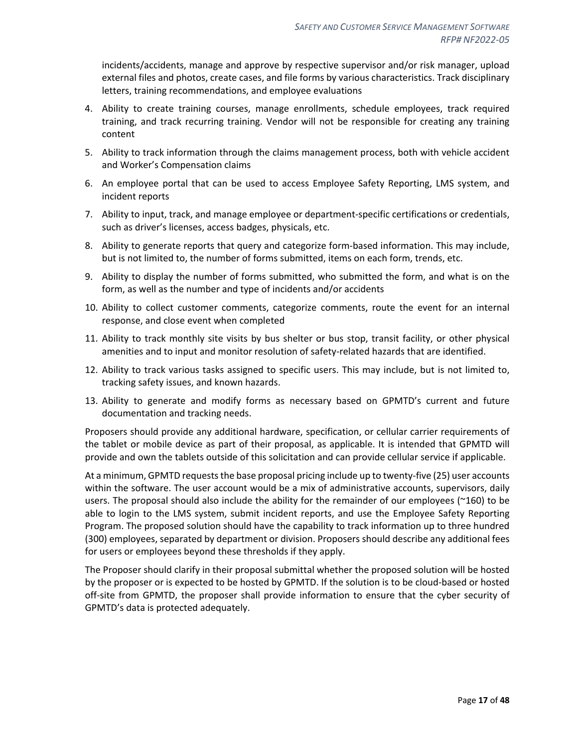incidents/accidents, manage and approve by respective supervisor and/or risk manager, upload external files and photos, create cases, and file forms by various characteristics. Track disciplinary letters, training recommendations, and employee evaluations

- 4. Ability to create training courses, manage enrollments, schedule employees, track required training, and track recurring training. Vendor will not be responsible for creating any training content
- 5. Ability to track information through the claims management process, both with vehicle accident and Worker's Compensation claims
- 6. An employee portal that can be used to access Employee Safety Reporting, LMS system, and incident reports
- 7. Ability to input, track, and manage employee or department-specific certifications or credentials, such as driver's licenses, access badges, physicals, etc.
- 8. Ability to generate reports that query and categorize form-based information. This may include, but is not limited to, the number of forms submitted, items on each form, trends, etc.
- 9. Ability to display the number of forms submitted, who submitted the form, and what is on the form, as well as the number and type of incidents and/or accidents
- 10. Ability to collect customer comments, categorize comments, route the event for an internal response, and close event when completed
- 11. Ability to track monthly site visits by bus shelter or bus stop, transit facility, or other physical amenities and to input and monitor resolution of safety-related hazards that are identified.
- 12. Ability to track various tasks assigned to specific users. This may include, but is not limited to, tracking safety issues, and known hazards.
- 13. Ability to generate and modify forms as necessary based on GPMTD's current and future documentation and tracking needs.

Proposers should provide any additional hardware, specification, or cellular carrier requirements of the tablet or mobile device as part of their proposal, as applicable. It is intended that GPMTD will provide and own the tablets outside of this solicitation and can provide cellular service if applicable.

At a minimum, GPMTD requests the base proposal pricing include up to twenty-five (25) user accounts within the software. The user account would be a mix of administrative accounts, supervisors, daily users. The proposal should also include the ability for the remainder of our employees (~160) to be able to login to the LMS system, submit incident reports, and use the Employee Safety Reporting Program. The proposed solution should have the capability to track information up to three hundred (300) employees, separated by department or division. Proposers should describe any additional fees for users or employees beyond these thresholds if they apply.

The Proposer should clarify in their proposal submittal whether the proposed solution will be hosted by the proposer or is expected to be hosted by GPMTD. If the solution is to be cloud-based or hosted off-site from GPMTD, the proposer shall provide information to ensure that the cyber security of GPMTD's data is protected adequately.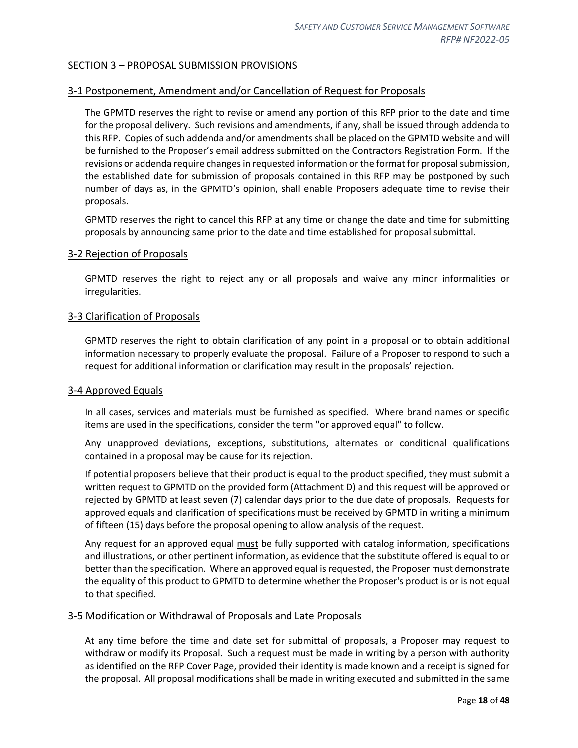## <span id="page-17-0"></span>SECTION 3 – PROPOSAL SUBMISSION PROVISIONS

## <span id="page-17-1"></span>3-1 Postponement, Amendment and/or Cancellation of Request for Proposals

The GPMTD reserves the right to revise or amend any portion of this RFP prior to the date and time for the proposal delivery. Such revisions and amendments, if any, shall be issued through addenda to this RFP. Copies of such addenda and/or amendments shall be placed on the GPMTD website and will be furnished to the Proposer's email address submitted on the Contractors Registration Form. If the revisions or addenda require changes in requested information or the format for proposal submission, the established date for submission of proposals contained in this RFP may be postponed by such number of days as, in the GPMTD's opinion, shall enable Proposers adequate time to revise their proposals.

GPMTD reserves the right to cancel this RFP at any time or change the date and time for submitting proposals by announcing same prior to the date and time established for proposal submittal.

#### <span id="page-17-2"></span>3-2 Rejection of Proposals

GPMTD reserves the right to reject any or all proposals and waive any minor informalities or irregularities.

#### <span id="page-17-3"></span>3-3 Clarification of Proposals

GPMTD reserves the right to obtain clarification of any point in a proposal or to obtain additional information necessary to properly evaluate the proposal. Failure of a Proposer to respond to such a request for additional information or clarification may result in the proposals' rejection.

#### <span id="page-17-4"></span>3-4 Approved Equals

In all cases, services and materials must be furnished as specified. Where brand names or specific items are used in the specifications, consider the term "or approved equal" to follow.

Any unapproved deviations, exceptions, substitutions, alternates or conditional qualifications contained in a proposal may be cause for its rejection.

If potential proposers believe that their product is equal to the product specified, they must submit a written request to GPMTD on the provided form (Attachment D) and this request will be approved or rejected by GPMTD at least seven (7) calendar days prior to the due date of proposals. Requests for approved equals and clarification of specifications must be received by GPMTD in writing a minimum of fifteen (15) days before the proposal opening to allow analysis of the request.

Any request for an approved equal must be fully supported with catalog information, specifications and illustrations, or other pertinent information, as evidence that the substitute offered is equal to or better than the specification. Where an approved equal is requested, the Proposer must demonstrate the equality of this product to GPMTD to determine whether the Proposer's product is or is not equal to that specified.

#### <span id="page-17-5"></span>3-5 Modification or Withdrawal of Proposals and Late Proposals

At any time before the time and date set for submittal of proposals, a Proposer may request to withdraw or modify its Proposal. Such a request must be made in writing by a person with authority as identified on the RFP Cover Page, provided their identity is made known and a receipt is signed for the proposal. All proposal modifications shall be made in writing executed and submitted in the same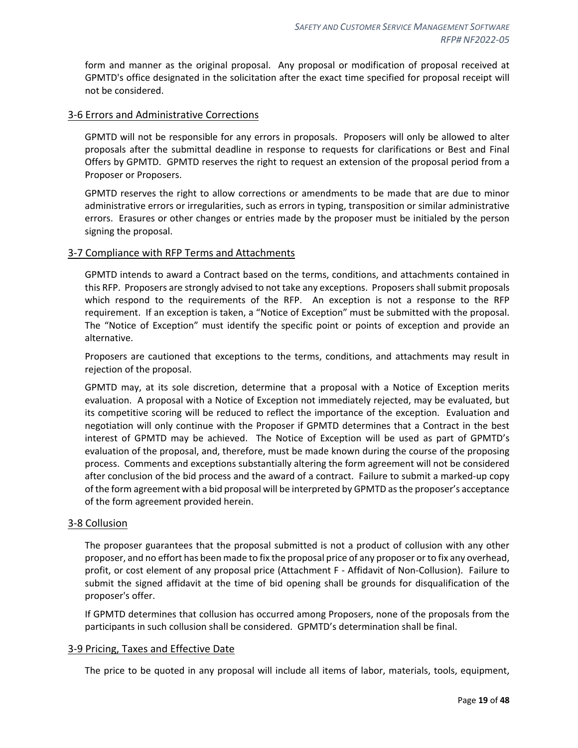form and manner as the original proposal. Any proposal or modification of proposal received at GPMTD's office designated in the solicitation after the exact time specified for proposal receipt will not be considered.

#### <span id="page-18-0"></span>3-6 Errors and Administrative Corrections

GPMTD will not be responsible for any errors in proposals. Proposers will only be allowed to alter proposals after the submittal deadline in response to requests for clarifications or Best and Final Offers by GPMTD. GPMTD reserves the right to request an extension of the proposal period from a Proposer or Proposers.

GPMTD reserves the right to allow corrections or amendments to be made that are due to minor administrative errors or irregularities, such as errors in typing, transposition or similar administrative errors. Erasures or other changes or entries made by the proposer must be initialed by the person signing the proposal.

#### <span id="page-18-1"></span>3-7 Compliance with RFP Terms and Attachments

GPMTD intends to award a Contract based on the terms, conditions, and attachments contained in this RFP. Proposers are strongly advised to not take any exceptions. Proposers shall submit proposals which respond to the requirements of the RFP. An exception is not a response to the RFP requirement. If an exception is taken, a "Notice of Exception" must be submitted with the proposal. The "Notice of Exception" must identify the specific point or points of exception and provide an alternative.

Proposers are cautioned that exceptions to the terms, conditions, and attachments may result in rejection of the proposal.

GPMTD may, at its sole discretion, determine that a proposal with a Notice of Exception merits evaluation. A proposal with a Notice of Exception not immediately rejected, may be evaluated, but its competitive scoring will be reduced to reflect the importance of the exception. Evaluation and negotiation will only continue with the Proposer if GPMTD determines that a Contract in the best interest of GPMTD may be achieved. The Notice of Exception will be used as part of GPMTD's evaluation of the proposal, and, therefore, must be made known during the course of the proposing process. Comments and exceptions substantially altering the form agreement will not be considered after conclusion of the bid process and the award of a contract. Failure to submit a marked-up copy of the form agreement with a bid proposal will be interpreted by GPMTD as the proposer's acceptance of the form agreement provided herein.

#### <span id="page-18-2"></span>3-8 Collusion

The proposer guarantees that the proposal submitted is not a product of collusion with any other proposer, and no effort has been made to fix the proposal price of any proposer or to fix any overhead, profit, or cost element of any proposal price (Attachment F - Affidavit of Non-Collusion). Failure to submit the signed affidavit at the time of bid opening shall be grounds for disqualification of the proposer's offer.

If GPMTD determines that collusion has occurred among Proposers, none of the proposals from the participants in such collusion shall be considered. GPMTD's determination shall be final.

#### <span id="page-18-3"></span>3-9 Pricing, Taxes and Effective Date

The price to be quoted in any proposal will include all items of labor, materials, tools, equipment,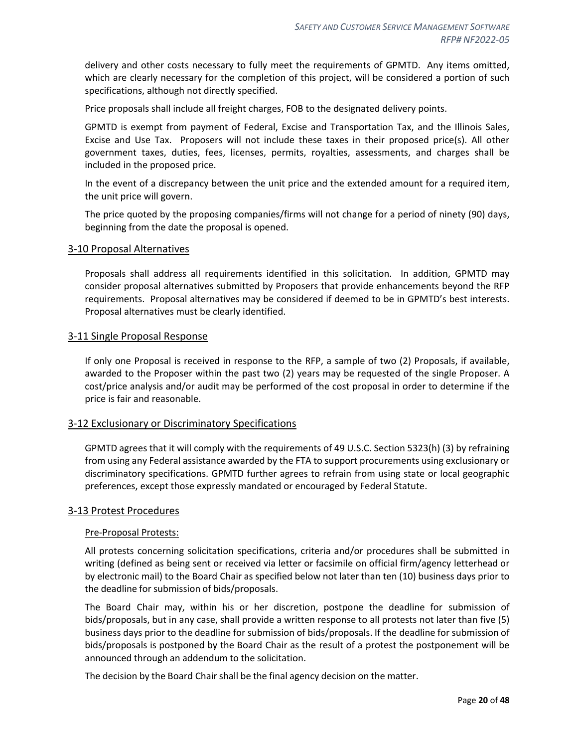delivery and other costs necessary to fully meet the requirements of GPMTD. Any items omitted, which are clearly necessary for the completion of this project, will be considered a portion of such specifications, although not directly specified.

Price proposals shall include all freight charges, FOB to the designated delivery points.

GPMTD is exempt from payment of Federal, Excise and Transportation Tax, and the Illinois Sales, Excise and Use Tax. Proposers will not include these taxes in their proposed price(s). All other government taxes, duties, fees, licenses, permits, royalties, assessments, and charges shall be included in the proposed price.

In the event of a discrepancy between the unit price and the extended amount for a required item, the unit price will govern.

The price quoted by the proposing companies/firms will not change for a period of ninety (90) days, beginning from the date the proposal is opened.

#### <span id="page-19-0"></span>3-10 Proposal Alternatives

Proposals shall address all requirements identified in this solicitation. In addition, GPMTD may consider proposal alternatives submitted by Proposers that provide enhancements beyond the RFP requirements. Proposal alternatives may be considered if deemed to be in GPMTD's best interests. Proposal alternatives must be clearly identified.

#### <span id="page-19-1"></span>3-11 Single Proposal Response

If only one Proposal is received in response to the RFP, a sample of two (2) Proposals, if available, awarded to the Proposer within the past two (2) years may be requested of the single Proposer. A cost/price analysis and/or audit may be performed of the cost proposal in order to determine if the price is fair and reasonable.

#### <span id="page-19-2"></span>3-12 Exclusionary or Discriminatory Specifications

GPMTD agrees that it will comply with the requirements of 49 U.S.C. Section 5323(h) (3) by refraining from using any Federal assistance awarded by the FTA to support procurements using exclusionary or discriminatory specifications. GPMTD further agrees to refrain from using state or local geographic preferences, except those expressly mandated or encouraged by Federal Statute.

#### <span id="page-19-3"></span>3-13 Protest Procedures

#### Pre-Proposal Protests:

All protests concerning solicitation specifications, criteria and/or procedures shall be submitted in writing (defined as being sent or received via letter or facsimile on official firm/agency letterhead or by electronic mail) to the Board Chair as specified below not later than ten (10) business days prior to the deadline for submission of bids/proposals.

The Board Chair may, within his or her discretion, postpone the deadline for submission of bids/proposals, but in any case, shall provide a written response to all protests not later than five (5) business days prior to the deadline for submission of bids/proposals. If the deadline for submission of bids/proposals is postponed by the Board Chair as the result of a protest the postponement will be announced through an addendum to the solicitation.

The decision by the Board Chair shall be the final agency decision on the matter.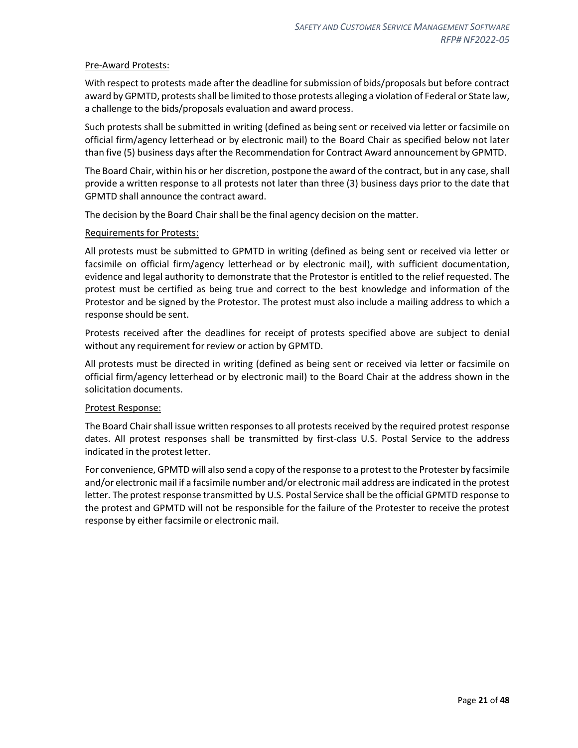#### Pre-Award Protests:

With respect to protests made after the deadline for submission of bids/proposals but before contract award by GPMTD, protests shall be limited to those protests alleging a violation of Federal or State law, a challenge to the bids/proposals evaluation and award process.

Such protests shall be submitted in writing (defined as being sent or received via letter or facsimile on official firm/agency letterhead or by electronic mail) to the Board Chair as specified below not later than five (5) business days after the Recommendation for Contract Award announcement by GPMTD.

The Board Chair, within his or her discretion, postpone the award of the contract, but in any case, shall provide a written response to all protests not later than three (3) business days prior to the date that GPMTD shall announce the contract award.

The decision by the Board Chair shall be the final agency decision on the matter.

#### Requirements for Protests:

All protests must be submitted to GPMTD in writing (defined as being sent or received via letter or facsimile on official firm/agency letterhead or by electronic mail), with sufficient documentation, evidence and legal authority to demonstrate that the Protestor is entitled to the relief requested. The protest must be certified as being true and correct to the best knowledge and information of the Protestor and be signed by the Protestor. The protest must also include a mailing address to which a response should be sent.

Protests received after the deadlines for receipt of protests specified above are subject to denial without any requirement for review or action by GPMTD.

All protests must be directed in writing (defined as being sent or received via letter or facsimile on official firm/agency letterhead or by electronic mail) to the Board Chair at the address shown in the solicitation documents.

#### Protest Response:

The Board Chair shall issue written responses to all protests received by the required protest response dates. All protest responses shall be transmitted by first-class U.S. Postal Service to the address indicated in the protest letter.

For convenience, GPMTD will also send a copy of the response to a protest to the Protester by facsimile and/or electronic mail if a facsimile number and/or electronic mail address are indicated in the protest letter. The protest response transmitted by U.S. Postal Service shall be the official GPMTD response to the protest and GPMTD will not be responsible for the failure of the Protester to receive the protest response by either facsimile or electronic mail.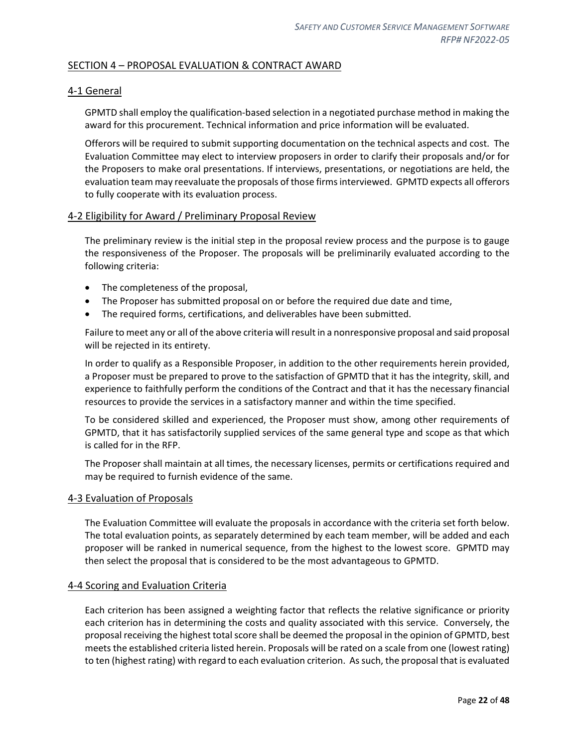## <span id="page-21-0"></span>SECTION 4 – PROPOSAL EVALUATION & CONTRACT AWARD

## <span id="page-21-1"></span>4-1 General

GPMTD shall employ the qualification-based selection in a negotiated purchase method in making the award for this procurement. Technical information and price information will be evaluated.

Offerors will be required to submit supporting documentation on the technical aspects and cost. The Evaluation Committee may elect to interview proposers in order to clarify their proposals and/or for the Proposers to make oral presentations. If interviews, presentations, or negotiations are held, the evaluation team may reevaluate the proposals of those firms interviewed. GPMTD expects all offerors to fully cooperate with its evaluation process.

#### <span id="page-21-2"></span>4-2 Eligibility for Award / Preliminary Proposal Review

The preliminary review is the initial step in the proposal review process and the purpose is to gauge the responsiveness of the Proposer. The proposals will be preliminarily evaluated according to the following criteria:

- The completeness of the proposal,
- The Proposer has submitted proposal on or before the required due date and time,
- The required forms, certifications, and deliverables have been submitted.

Failure to meet any or all of the above criteria will result in a nonresponsive proposal and said proposal will be rejected in its entirety.

In order to qualify as a Responsible Proposer, in addition to the other requirements herein provided, a Proposer must be prepared to prove to the satisfaction of GPMTD that it has the integrity, skill, and experience to faithfully perform the conditions of the Contract and that it has the necessary financial resources to provide the services in a satisfactory manner and within the time specified.

To be considered skilled and experienced, the Proposer must show, among other requirements of GPMTD, that it has satisfactorily supplied services of the same general type and scope as that which is called for in the RFP.

The Proposer shall maintain at all times, the necessary licenses, permits or certifications required and may be required to furnish evidence of the same.

#### <span id="page-21-3"></span>4-3 Evaluation of Proposals

The Evaluation Committee will evaluate the proposals in accordance with the criteria set forth below. The total evaluation points, as separately determined by each team member, will be added and each proposer will be ranked in numerical sequence, from the highest to the lowest score. GPMTD may then select the proposal that is considered to be the most advantageous to GPMTD.

#### <span id="page-21-4"></span>4-4 Scoring and Evaluation Criteria

Each criterion has been assigned a weighting factor that reflects the relative significance or priority each criterion has in determining the costs and quality associated with this service. Conversely, the proposal receiving the highest total score shall be deemed the proposal in the opinion of GPMTD, best meets the established criteria listed herein. Proposals will be rated on a scale from one (lowest rating) to ten (highest rating) with regard to each evaluation criterion. As such, the proposal that is evaluated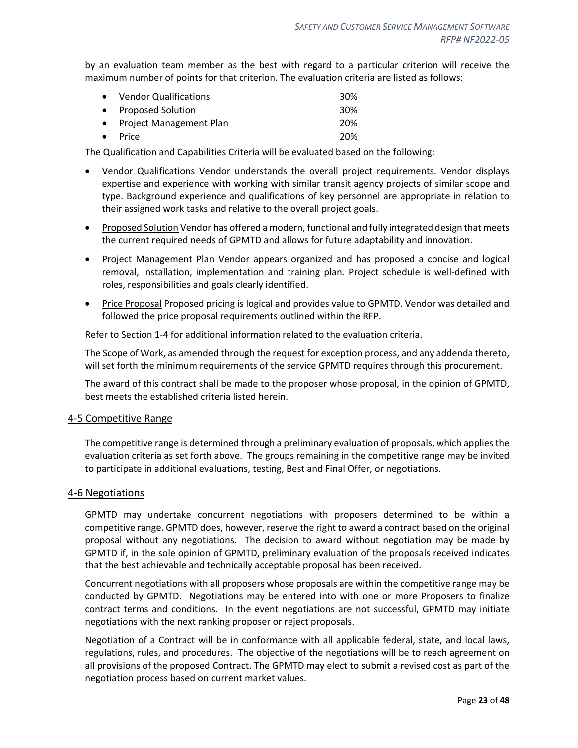by an evaluation team member as the best with regard to a particular criterion will receive the maximum number of points for that criterion. The evaluation criteria are listed as follows:

| • Vendor Qualifications   | 30 <sup>%</sup> |
|---------------------------|-----------------|
| • Proposed Solution       | 30 <sup>%</sup> |
| • Project Management Plan | 20%             |
| $\bullet$ Price           | 20%             |

The Qualification and Capabilities Criteria will be evaluated based on the following:

- Vendor Qualifications Vendor understands the overall project requirements. Vendor displays expertise and experience with working with similar transit agency projects of similar scope and type. Background experience and qualifications of key personnel are appropriate in relation to their assigned work tasks and relative to the overall project goals.
- Proposed Solution Vendor has offered a modern, functional and fully integrated design that meets the current required needs of GPMTD and allows for future adaptability and innovation.
- Project Management Plan Vendor appears organized and has proposed a concise and logical removal, installation, implementation and training plan. Project schedule is well-defined with roles, responsibilities and goals clearly identified.
- Price Proposal Proposed pricing is logical and provides value to GPMTD. Vendor was detailed and followed the price proposal requirements outlined within the RFP.

Refer to Section 1-4 for additional information related to the evaluation criteria.

The Scope of Work, as amended through the request for exception process, and any addenda thereto, will set forth the minimum requirements of the service GPMTD requires through this procurement.

The award of this contract shall be made to the proposer whose proposal, in the opinion of GPMTD, best meets the established criteria listed herein.

#### <span id="page-22-0"></span>4-5 Competitive Range

The competitive range is determined through a preliminary evaluation of proposals, which applies the evaluation criteria as set forth above. The groups remaining in the competitive range may be invited to participate in additional evaluations, testing, Best and Final Offer, or negotiations.

#### <span id="page-22-1"></span>4-6 Negotiations

GPMTD may undertake concurrent negotiations with proposers determined to be within a competitive range. GPMTD does, however, reserve the right to award a contract based on the original proposal without any negotiations. The decision to award without negotiation may be made by GPMTD if, in the sole opinion of GPMTD, preliminary evaluation of the proposals received indicates that the best achievable and technically acceptable proposal has been received.

Concurrent negotiations with all proposers whose proposals are within the competitive range may be conducted by GPMTD. Negotiations may be entered into with one or more Proposers to finalize contract terms and conditions. In the event negotiations are not successful, GPMTD may initiate negotiations with the next ranking proposer or reject proposals.

Negotiation of a Contract will be in conformance with all applicable federal, state, and local laws, regulations, rules, and procedures. The objective of the negotiations will be to reach agreement on all provisions of the proposed Contract. The GPMTD may elect to submit a revised cost as part of the negotiation process based on current market values.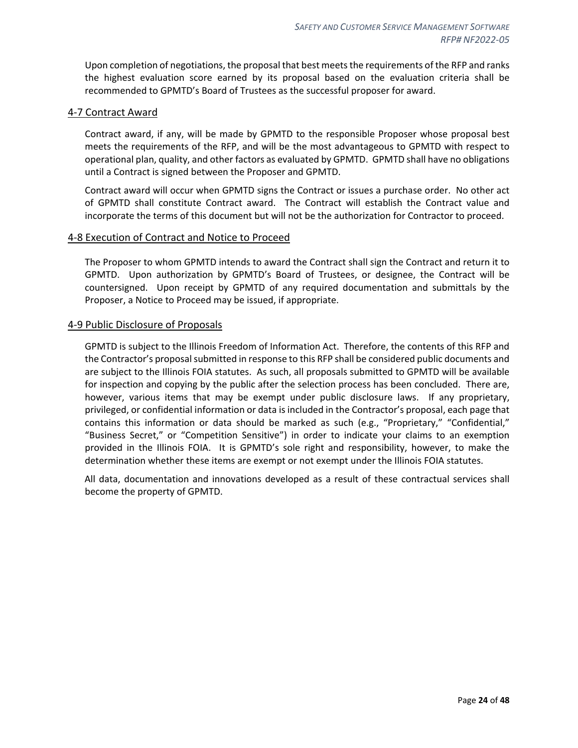Upon completion of negotiations, the proposal that best meets the requirements of the RFP and ranks the highest evaluation score earned by its proposal based on the evaluation criteria shall be recommended to GPMTD's Board of Trustees as the successful proposer for award.

#### <span id="page-23-0"></span>4-7 Contract Award

Contract award, if any, will be made by GPMTD to the responsible Proposer whose proposal best meets the requirements of the RFP, and will be the most advantageous to GPMTD with respect to operational plan, quality, and other factors as evaluated by GPMTD. GPMTD shall have no obligations until a Contract is signed between the Proposer and GPMTD.

Contract award will occur when GPMTD signs the Contract or issues a purchase order. No other act of GPMTD shall constitute Contract award. The Contract will establish the Contract value and incorporate the terms of this document but will not be the authorization for Contractor to proceed.

#### <span id="page-23-1"></span>4-8 Execution of Contract and Notice to Proceed

The Proposer to whom GPMTD intends to award the Contract shall sign the Contract and return it to GPMTD. Upon authorization by GPMTD's Board of Trustees, or designee, the Contract will be countersigned. Upon receipt by GPMTD of any required documentation and submittals by the Proposer, a Notice to Proceed may be issued, if appropriate.

#### <span id="page-23-2"></span>4-9 Public Disclosure of Proposals

GPMTD is subject to the Illinois Freedom of Information Act. Therefore, the contents of this RFP and the Contractor's proposal submitted in response to this RFP shall be considered public documents and are subject to the Illinois FOIA statutes. As such, all proposals submitted to GPMTD will be available for inspection and copying by the public after the selection process has been concluded. There are, however, various items that may be exempt under public disclosure laws. If any proprietary, privileged, or confidential information or data is included in the Contractor's proposal, each page that contains this information or data should be marked as such (e.g., "Proprietary," "Confidential," "Business Secret," or "Competition Sensitive") in order to indicate your claims to an exemption provided in the Illinois FOIA. It is GPMTD's sole right and responsibility, however, to make the determination whether these items are exempt or not exempt under the Illinois FOIA statutes.

All data, documentation and innovations developed as a result of these contractual services shall become the property of GPMTD.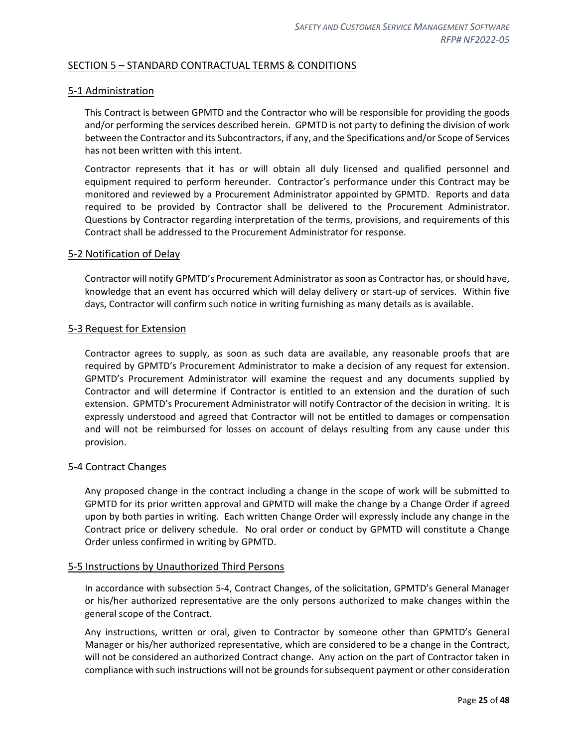## <span id="page-24-0"></span>SECTION 5 – STANDARD CONTRACTUAL TERMS & CONDITIONS

#### <span id="page-24-1"></span>5-1 Administration

This Contract is between GPMTD and the Contractor who will be responsible for providing the goods and/or performing the services described herein. GPMTD is not party to defining the division of work between the Contractor and its Subcontractors, if any, and the Specifications and/or Scope of Services has not been written with this intent.

Contractor represents that it has or will obtain all duly licensed and qualified personnel and equipment required to perform hereunder. Contractor's performance under this Contract may be monitored and reviewed by a Procurement Administrator appointed by GPMTD. Reports and data required to be provided by Contractor shall be delivered to the Procurement Administrator. Questions by Contractor regarding interpretation of the terms, provisions, and requirements of this Contract shall be addressed to the Procurement Administrator for response.

#### <span id="page-24-2"></span>5-2 Notification of Delay

Contractor will notify GPMTD's Procurement Administrator as soon as Contractor has, or should have, knowledge that an event has occurred which will delay delivery or start-up of services. Within five days, Contractor will confirm such notice in writing furnishing as many details as is available.

#### <span id="page-24-3"></span>5-3 Request for Extension

Contractor agrees to supply, as soon as such data are available, any reasonable proofs that are required by GPMTD's Procurement Administrator to make a decision of any request for extension. GPMTD's Procurement Administrator will examine the request and any documents supplied by Contractor and will determine if Contractor is entitled to an extension and the duration of such extension. GPMTD's Procurement Administrator will notify Contractor of the decision in writing. It is expressly understood and agreed that Contractor will not be entitled to damages or compensation and will not be reimbursed for losses on account of delays resulting from any cause under this provision.

#### <span id="page-24-4"></span>5-4 Contract Changes

Any proposed change in the contract including a change in the scope of work will be submitted to GPMTD for its prior written approval and GPMTD will make the change by a Change Order if agreed upon by both parties in writing. Each written Change Order will expressly include any change in the Contract price or delivery schedule. No oral order or conduct by GPMTD will constitute a Change Order unless confirmed in writing by GPMTD.

#### <span id="page-24-5"></span>5-5 Instructions by Unauthorized Third Persons

In accordance with subsection 5-4, Contract Changes, of the solicitation, GPMTD's General Manager or his/her authorized representative are the only persons authorized to make changes within the general scope of the Contract.

Any instructions, written or oral, given to Contractor by someone other than GPMTD's General Manager or his/her authorized representative, which are considered to be a change in the Contract, will not be considered an authorized Contract change. Any action on the part of Contractor taken in compliance with such instructions will not be grounds for subsequent payment or other consideration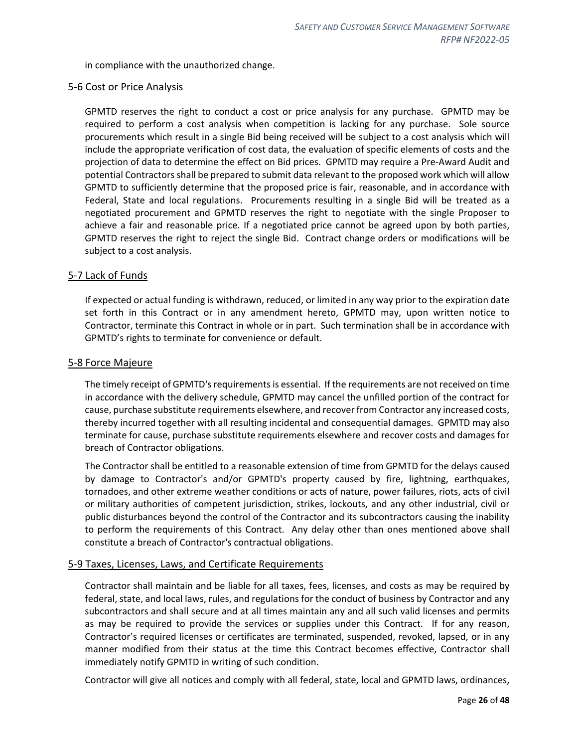in compliance with the unauthorized change.

#### <span id="page-25-0"></span>5-6 Cost or Price Analysis

GPMTD reserves the right to conduct a cost or price analysis for any purchase. GPMTD may be required to perform a cost analysis when competition is lacking for any purchase. Sole source procurements which result in a single Bid being received will be subject to a cost analysis which will include the appropriate verification of cost data, the evaluation of specific elements of costs and the projection of data to determine the effect on Bid prices. GPMTD may require a Pre-Award Audit and potential Contractors shall be prepared to submit data relevant to the proposed work which will allow GPMTD to sufficiently determine that the proposed price is fair, reasonable, and in accordance with Federal, State and local regulations. Procurements resulting in a single Bid will be treated as a negotiated procurement and GPMTD reserves the right to negotiate with the single Proposer to achieve a fair and reasonable price. If a negotiated price cannot be agreed upon by both parties, GPMTD reserves the right to reject the single Bid. Contract change orders or modifications will be subject to a cost analysis.

#### <span id="page-25-1"></span>5-7 Lack of Funds

If expected or actual funding is withdrawn, reduced, or limited in any way prior to the expiration date set forth in this Contract or in any amendment hereto, GPMTD may, upon written notice to Contractor, terminate this Contract in whole or in part. Such termination shall be in accordance with GPMTD's rights to terminate for convenience or default.

#### <span id="page-25-2"></span>5-8 Force Majeure

The timely receipt of GPMTD's requirements is essential. If the requirements are not received on time in accordance with the delivery schedule, GPMTD may cancel the unfilled portion of the contract for cause, purchase substitute requirements elsewhere, and recover from Contractor any increased costs, thereby incurred together with all resulting incidental and consequential damages. GPMTD may also terminate for cause, purchase substitute requirements elsewhere and recover costs and damages for breach of Contractor obligations.

The Contractor shall be entitled to a reasonable extension of time from GPMTD for the delays caused by damage to Contractor's and/or GPMTD's property caused by fire, lightning, earthquakes, tornadoes, and other extreme weather conditions or acts of nature, power failures, riots, acts of civil or military authorities of competent jurisdiction, strikes, lockouts, and any other industrial, civil or public disturbances beyond the control of the Contractor and its subcontractors causing the inability to perform the requirements of this Contract. Any delay other than ones mentioned above shall constitute a breach of Contractor's contractual obligations.

#### <span id="page-25-3"></span>5-9 Taxes, Licenses, Laws, and Certificate Requirements

Contractor shall maintain and be liable for all taxes, fees, licenses, and costs as may be required by federal, state, and local laws, rules, and regulations for the conduct of business by Contractor and any subcontractors and shall secure and at all times maintain any and all such valid licenses and permits as may be required to provide the services or supplies under this Contract. If for any reason, Contractor's required licenses or certificates are terminated, suspended, revoked, lapsed, or in any manner modified from their status at the time this Contract becomes effective, Contractor shall immediately notify GPMTD in writing of such condition.

Contractor will give all notices and comply with all federal, state, local and GPMTD laws, ordinances,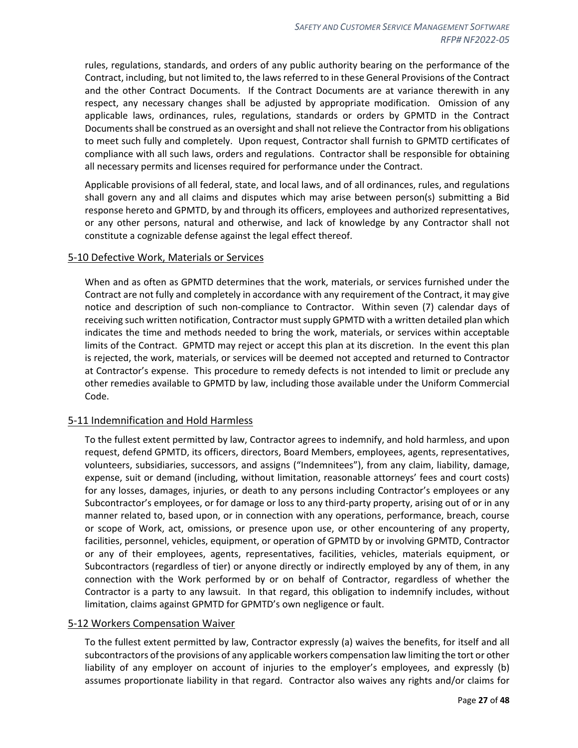rules, regulations, standards, and orders of any public authority bearing on the performance of the Contract, including, but not limited to, the laws referred to in these General Provisions of the Contract and the other Contract Documents. If the Contract Documents are at variance therewith in any respect, any necessary changes shall be adjusted by appropriate modification. Omission of any applicable laws, ordinances, rules, regulations, standards or orders by GPMTD in the Contract Documents shall be construed as an oversight and shall not relieve the Contractor from his obligations to meet such fully and completely. Upon request, Contractor shall furnish to GPMTD certificates of compliance with all such laws, orders and regulations. Contractor shall be responsible for obtaining all necessary permits and licenses required for performance under the Contract.

Applicable provisions of all federal, state, and local laws, and of all ordinances, rules, and regulations shall govern any and all claims and disputes which may arise between person(s) submitting a Bid response hereto and GPMTD, by and through its officers, employees and authorized representatives, or any other persons, natural and otherwise, and lack of knowledge by any Contractor shall not constitute a cognizable defense against the legal effect thereof.

#### <span id="page-26-0"></span>5-10 Defective Work, Materials or Services

When and as often as GPMTD determines that the work, materials, or services furnished under the Contract are not fully and completely in accordance with any requirement of the Contract, it may give notice and description of such non-compliance to Contractor. Within seven (7) calendar days of receiving such written notification, Contractor must supply GPMTD with a written detailed plan which indicates the time and methods needed to bring the work, materials, or services within acceptable limits of the Contract. GPMTD may reject or accept this plan at its discretion. In the event this plan is rejected, the work, materials, or services will be deemed not accepted and returned to Contractor at Contractor's expense. This procedure to remedy defects is not intended to limit or preclude any other remedies available to GPMTD by law, including those available under the Uniform Commercial Code.

#### <span id="page-26-1"></span>5-11 Indemnification and Hold Harmless

To the fullest extent permitted by law, Contractor agrees to indemnify, and hold harmless, and upon request, defend GPMTD, its officers, directors, Board Members, employees, agents, representatives, volunteers, subsidiaries, successors, and assigns ("Indemnitees"), from any claim, liability, damage, expense, suit or demand (including, without limitation, reasonable attorneys' fees and court costs) for any losses, damages, injuries, or death to any persons including Contractor's employees or any Subcontractor's employees, or for damage or loss to any third-party property, arising out of or in any manner related to, based upon, or in connection with any operations, performance, breach, course or scope of Work, act, omissions, or presence upon use, or other encountering of any property, facilities, personnel, vehicles, equipment, or operation of GPMTD by or involving GPMTD, Contractor or any of their employees, agents, representatives, facilities, vehicles, materials equipment, or Subcontractors (regardless of tier) or anyone directly or indirectly employed by any of them, in any connection with the Work performed by or on behalf of Contractor, regardless of whether the Contractor is a party to any lawsuit. In that regard, this obligation to indemnify includes, without limitation, claims against GPMTD for GPMTD's own negligence or fault.

#### <span id="page-26-2"></span>5-12 Workers Compensation Waiver

To the fullest extent permitted by law, Contractor expressly (a) waives the benefits, for itself and all subcontractors of the provisions of any applicable workers compensation law limiting the tort or other liability of any employer on account of injuries to the employer's employees, and expressly (b) assumes proportionate liability in that regard. Contractor also waives any rights and/or claims for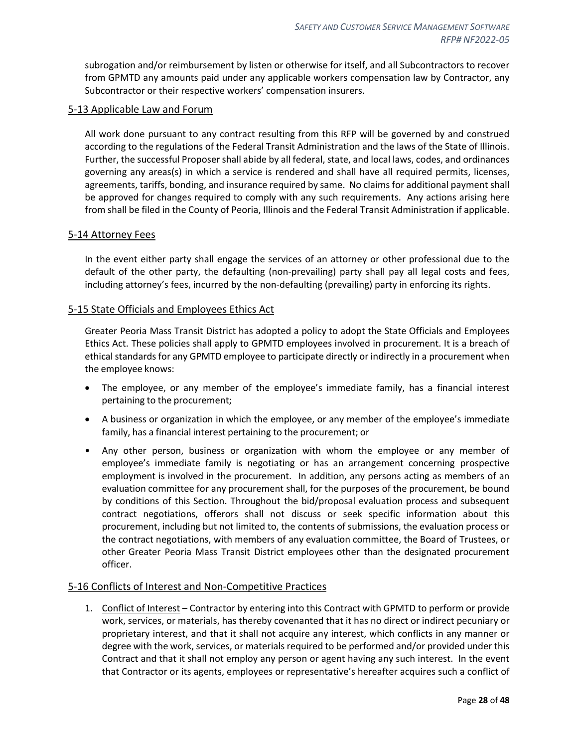subrogation and/or reimbursement by listen or otherwise for itself, and all Subcontractors to recover from GPMTD any amounts paid under any applicable workers compensation law by Contractor, any Subcontractor or their respective workers' compensation insurers.

#### <span id="page-27-0"></span>5-13 Applicable Law and Forum

All work done pursuant to any contract resulting from this RFP will be governed by and construed according to the regulations of the Federal Transit Administration and the laws of the State of Illinois. Further, the successful Proposer shall abide by all federal, state, and local laws, codes, and ordinances governing any areas(s) in which a service is rendered and shall have all required permits, licenses, agreements, tariffs, bonding, and insurance required by same. No claims for additional payment shall be approved for changes required to comply with any such requirements. Any actions arising here from shall be filed in the County of Peoria, Illinois and the Federal Transit Administration if applicable.

#### <span id="page-27-1"></span>5-14 Attorney Fees

In the event either party shall engage the services of an attorney or other professional due to the default of the other party, the defaulting (non-prevailing) party shall pay all legal costs and fees, including attorney's fees, incurred by the non-defaulting (prevailing) party in enforcing its rights.

#### <span id="page-27-2"></span>5-15 State Officials and Employees Ethics Act

Greater Peoria Mass Transit District has adopted a policy to adopt the State Officials and Employees Ethics Act. These policies shall apply to GPMTD employees involved in procurement. It is a breach of ethical standards for any GPMTD employee to participate directly or indirectly in a procurement when the employee knows:

- The employee, or any member of the employee's immediate family, has a financial interest pertaining to the procurement;
- A business or organization in which the employee, or any member of the employee's immediate family, has a financial interest pertaining to the procurement; or
- Any other person, business or organization with whom the employee or any member of employee's immediate family is negotiating or has an arrangement concerning prospective employment is involved in the procurement. In addition, any persons acting as members of an evaluation committee for any procurement shall, for the purposes of the procurement, be bound by conditions of this Section. Throughout the bid/proposal evaluation process and subsequent contract negotiations, offerors shall not discuss or seek specific information about this procurement, including but not limited to, the contents of submissions, the evaluation process or the contract negotiations, with members of any evaluation committee, the Board of Trustees, or other Greater Peoria Mass Transit District employees other than the designated procurement officer.

#### <span id="page-27-3"></span>5-16 Conflicts of Interest and Non-Competitive Practices

1. Conflict of Interest – Contractor by entering into this Contract with GPMTD to perform or provide work, services, or materials, has thereby covenanted that it has no direct or indirect pecuniary or proprietary interest, and that it shall not acquire any interest, which conflicts in any manner or degree with the work, services, or materials required to be performed and/or provided under this Contract and that it shall not employ any person or agent having any such interest. In the event that Contractor or its agents, employees or representative's hereafter acquires such a conflict of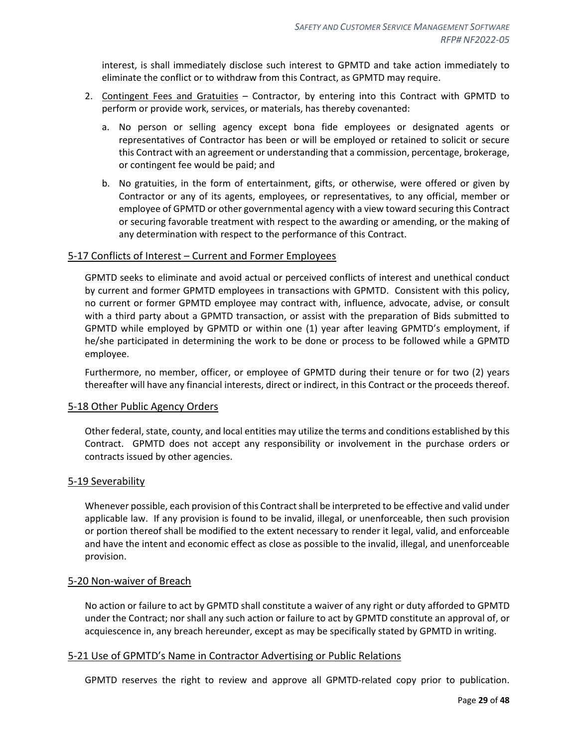interest, is shall immediately disclose such interest to GPMTD and take action immediately to eliminate the conflict or to withdraw from this Contract, as GPMTD may require.

- 2. Contingent Fees and Gratuities Contractor, by entering into this Contract with GPMTD to perform or provide work, services, or materials, has thereby covenanted:
	- a. No person or selling agency except bona fide employees or designated agents or representatives of Contractor has been or will be employed or retained to solicit or secure this Contract with an agreement or understanding that a commission, percentage, brokerage, or contingent fee would be paid; and
	- b. No gratuities, in the form of entertainment, gifts, or otherwise, were offered or given by Contractor or any of its agents, employees, or representatives, to any official, member or employee of GPMTD or other governmental agency with a view toward securing this Contract or securing favorable treatment with respect to the awarding or amending, or the making of any determination with respect to the performance of this Contract.

#### <span id="page-28-0"></span>5-17 Conflicts of Interest – Current and Former Employees

GPMTD seeks to eliminate and avoid actual or perceived conflicts of interest and unethical conduct by current and former GPMTD employees in transactions with GPMTD. Consistent with this policy, no current or former GPMTD employee may contract with, influence, advocate, advise, or consult with a third party about a GPMTD transaction, or assist with the preparation of Bids submitted to GPMTD while employed by GPMTD or within one (1) year after leaving GPMTD's employment, if he/she participated in determining the work to be done or process to be followed while a GPMTD employee.

Furthermore, no member, officer, or employee of GPMTD during their tenure or for two (2) years thereafter will have any financial interests, direct or indirect, in this Contract or the proceeds thereof.

#### <span id="page-28-1"></span>5-18 Other Public Agency Orders

Other federal, state, county, and local entities may utilize the terms and conditions established by this Contract. GPMTD does not accept any responsibility or involvement in the purchase orders or contracts issued by other agencies.

#### <span id="page-28-2"></span>5-19 Severability

Whenever possible, each provision of this Contract shall be interpreted to be effective and valid under applicable law. If any provision is found to be invalid, illegal, or unenforceable, then such provision or portion thereof shall be modified to the extent necessary to render it legal, valid, and enforceable and have the intent and economic effect as close as possible to the invalid, illegal, and unenforceable provision.

#### <span id="page-28-3"></span>5-20 Non-waiver of Breach

No action or failure to act by GPMTD shall constitute a waiver of any right or duty afforded to GPMTD under the Contract; nor shall any such action or failure to act by GPMTD constitute an approval of, or acquiescence in, any breach hereunder, except as may be specifically stated by GPMTD in writing.

#### <span id="page-28-4"></span>5-21 Use of GPMTD's Name in Contractor Advertising or Public Relations

GPMTD reserves the right to review and approve all GPMTD-related copy prior to publication.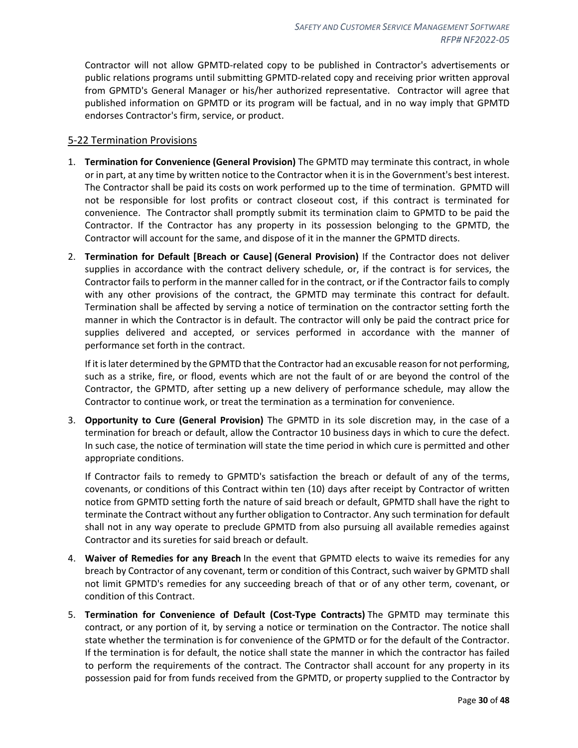Contractor will not allow GPMTD-related copy to be published in Contractor's advertisements or public relations programs until submitting GPMTD-related copy and receiving prior written approval from GPMTD's General Manager or his/her authorized representative. Contractor will agree that published information on GPMTD or its program will be factual, and in no way imply that GPMTD endorses Contractor's firm, service, or product.

#### <span id="page-29-0"></span>5-22 Termination Provisions

- 1. **Termination for Convenience (General Provision)** The GPMTD may terminate this contract, in whole or in part, at any time by written notice to the Contractor when it is in the Government's best interest. The Contractor shall be paid its costs on work performed up to the time of termination. GPMTD will not be responsible for lost profits or contract closeout cost, if this contract is terminated for convenience. The Contractor shall promptly submit its termination claim to GPMTD to be paid the Contractor. If the Contractor has any property in its possession belonging to the GPMTD, the Contractor will account for the same, and dispose of it in the manner the GPMTD directs.
- 2. **Termination for Default [Breach or Cause] (General Provision)** If the Contractor does not deliver supplies in accordance with the contract delivery schedule, or, if the contract is for services, the Contractor fails to perform in the manner called for in the contract, or if the Contractor fails to comply with any other provisions of the contract, the GPMTD may terminate this contract for default. Termination shall be affected by serving a notice of termination on the contractor setting forth the manner in which the Contractor is in default. The contractor will only be paid the contract price for supplies delivered and accepted, or services performed in accordance with the manner of performance set forth in the contract.

If it is later determined by the GPMTD that the Contractor had an excusable reason for not performing, such as a strike, fire, or flood, events which are not the fault of or are beyond the control of the Contractor, the GPMTD, after setting up a new delivery of performance schedule, may allow the Contractor to continue work, or treat the termination as a termination for convenience.

3. **Opportunity to Cure (General Provision)** The GPMTD in its sole discretion may, in the case of a termination for breach or default, allow the Contractor 10 business days in which to cure the defect. In such case, the notice of termination will state the time period in which cure is permitted and other appropriate conditions.

If Contractor fails to remedy to GPMTD's satisfaction the breach or default of any of the terms, covenants, or conditions of this Contract within ten (10) days after receipt by Contractor of written notice from GPMTD setting forth the nature of said breach or default, GPMTD shall have the right to terminate the Contract without any further obligation to Contractor. Any such termination for default shall not in any way operate to preclude GPMTD from also pursuing all available remedies against Contractor and its sureties for said breach or default.

- 4. **Waiver of Remedies for any Breach** In the event that GPMTD elects to waive its remedies for any breach by Contractor of any covenant, term or condition of this Contract, such waiver by GPMTD shall not limit GPMTD's remedies for any succeeding breach of that or of any other term, covenant, or condition of this Contract.
- 5. **Termination for Convenience of Default (Cost-Type Contracts)** The GPMTD may terminate this contract, or any portion of it, by serving a notice or termination on the Contractor. The notice shall state whether the termination is for convenience of the GPMTD or for the default of the Contractor. If the termination is for default, the notice shall state the manner in which the contractor has failed to perform the requirements of the contract. The Contractor shall account for any property in its possession paid for from funds received from the GPMTD, or property supplied to the Contractor by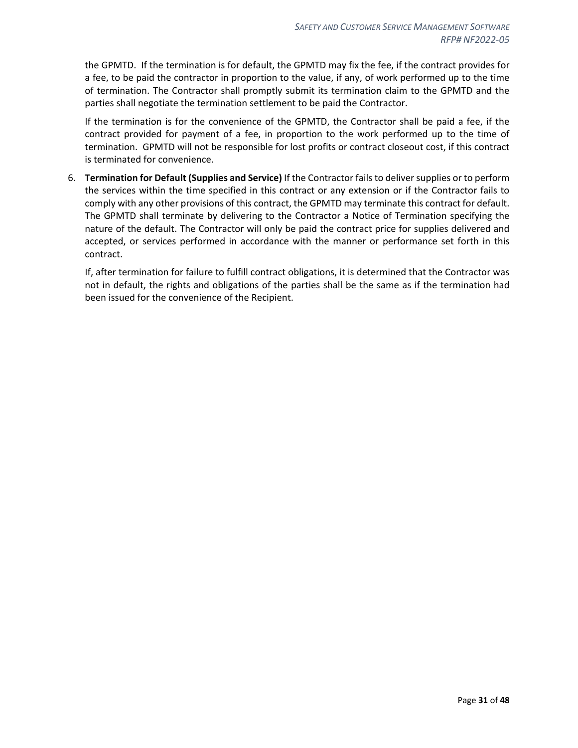the GPMTD. If the termination is for default, the GPMTD may fix the fee, if the contract provides for a fee, to be paid the contractor in proportion to the value, if any, of work performed up to the time of termination. The Contractor shall promptly submit its termination claim to the GPMTD and the parties shall negotiate the termination settlement to be paid the Contractor.

If the termination is for the convenience of the GPMTD, the Contractor shall be paid a fee, if the contract provided for payment of a fee, in proportion to the work performed up to the time of termination. GPMTD will not be responsible for lost profits or contract closeout cost, if this contract is terminated for convenience.

6. **Termination for Default (Supplies and Service)** If the Contractor fails to deliver supplies or to perform the services within the time specified in this contract or any extension or if the Contractor fails to comply with any other provisions of this contract, the GPMTD may terminate this contract for default. The GPMTD shall terminate by delivering to the Contractor a Notice of Termination specifying the nature of the default. The Contractor will only be paid the contract price for supplies delivered and accepted, or services performed in accordance with the manner or performance set forth in this contract.

If, after termination for failure to fulfill contract obligations, it is determined that the Contractor was not in default, the rights and obligations of the parties shall be the same as if the termination had been issued for the convenience of the Recipient.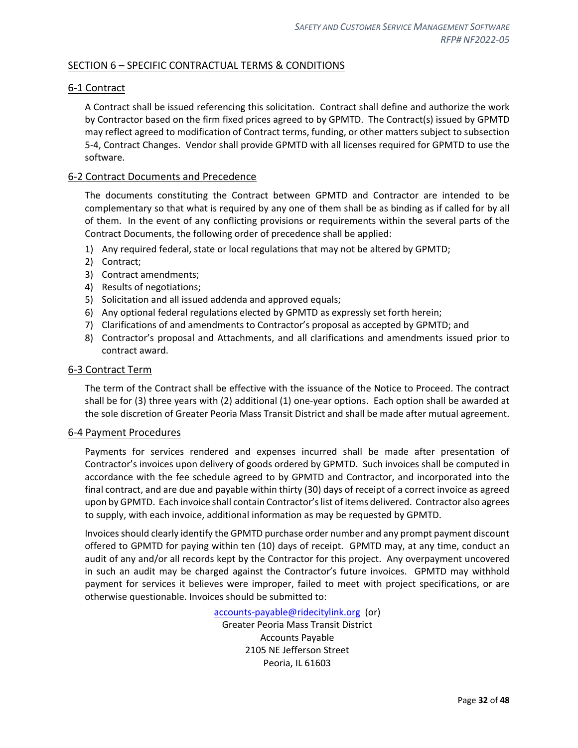## <span id="page-31-0"></span>SECTION 6 – SPECIFIC CONTRACTUAL TERMS & CONDITIONS

## <span id="page-31-1"></span>6-1 Contract

A Contract shall be issued referencing this solicitation. Contract shall define and authorize the work by Contractor based on the firm fixed prices agreed to by GPMTD. The Contract(s) issued by GPMTD may reflect agreed to modification of Contract terms, funding, or other matters subject to subsection 5-4, Contract Changes. Vendor shall provide GPMTD with all licenses required for GPMTD to use the software.

#### <span id="page-31-2"></span>6-2 Contract Documents and Precedence

The documents constituting the Contract between GPMTD and Contractor are intended to be complementary so that what is required by any one of them shall be as binding as if called for by all of them. In the event of any conflicting provisions or requirements within the several parts of the Contract Documents, the following order of precedence shall be applied:

- 1) Any required federal, state or local regulations that may not be altered by GPMTD;
- 2) Contract;
- 3) Contract amendments;
- 4) Results of negotiations;
- 5) Solicitation and all issued addenda and approved equals;
- 6) Any optional federal regulations elected by GPMTD as expressly set forth herein;
- 7) Clarifications of and amendments to Contractor's proposal as accepted by GPMTD; and
- 8) Contractor's proposal and Attachments, and all clarifications and amendments issued prior to contract award.

#### <span id="page-31-3"></span>6-3 Contract Term

The term of the Contract shall be effective with the issuance of the Notice to Proceed. The contract shall be for (3) three years with (2) additional (1) one-year options. Each option shall be awarded at the sole discretion of Greater Peoria Mass Transit District and shall be made after mutual agreement.

#### <span id="page-31-4"></span>6-4 Payment Procedures

Payments for services rendered and expenses incurred shall be made after presentation of Contractor's invoices upon delivery of goods ordered by GPMTD. Such invoices shall be computed in accordance with the fee schedule agreed to by GPMTD and Contractor, and incorporated into the final contract, and are due and payable within thirty (30) days of receipt of a correct invoice as agreed upon by GPMTD. Each invoice shall contain Contractor's list of items delivered. Contractor also agrees to supply, with each invoice, additional information as may be requested by GPMTD.

Invoices should clearly identify the GPMTD purchase order number and any prompt payment discount offered to GPMTD for paying within ten (10) days of receipt. GPMTD may, at any time, conduct an audit of any and/or all records kept by the Contractor for this project. Any overpayment uncovered in such an audit may be charged against the Contractor's future invoices. GPMTD may withhold payment for services it believes were improper, failed to meet with project specifications, or are otherwise questionable. Invoices should be submitted to:

> [accounts-payable@ridecitylink.org](mailto:accounts-payable@ridecitylink.org) (or) Greater Peoria Mass Transit District Accounts Payable 2105 NE Jefferson Street Peoria, IL 61603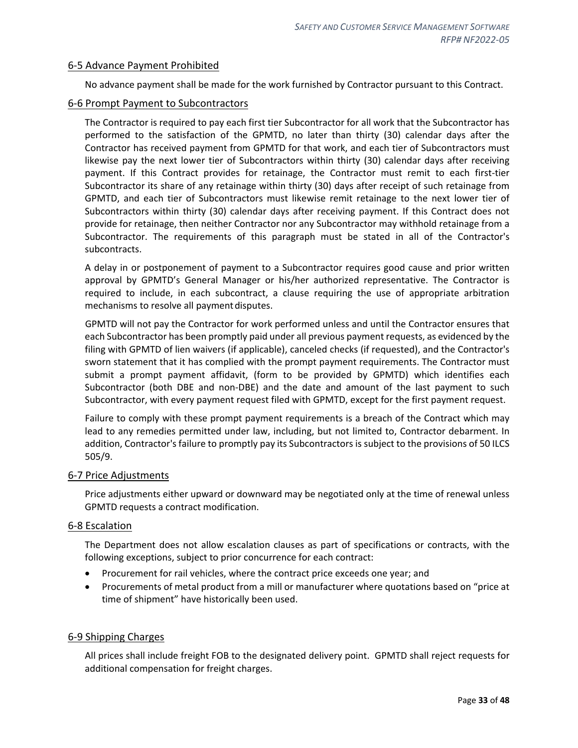#### <span id="page-32-0"></span>6-5 Advance Payment Prohibited

No advance payment shall be made for the work furnished by Contractor pursuant to this Contract.

#### <span id="page-32-1"></span>6-6 Prompt Payment to Subcontractors

The Contractor is required to pay each first tier Subcontractor for all work that the Subcontractor has performed to the satisfaction of the GPMTD, no later than thirty (30) calendar days after the Contractor has received payment from GPMTD for that work, and each tier of Subcontractors must likewise pay the next lower tier of Subcontractors within thirty (30) calendar days after receiving payment. If this Contract provides for retainage, the Contractor must remit to each first-tier Subcontractor its share of any retainage within thirty (30) days after receipt of such retainage from GPMTD, and each tier of Subcontractors must likewise remit retainage to the next lower tier of Subcontractors within thirty (30) calendar days after receiving payment. If this Contract does not provide for retainage, then neither Contractor nor any Subcontractor may withhold retainage from a Subcontractor. The requirements of this paragraph must be stated in all of the Contractor's subcontracts.

A delay in or postponement of payment to a Subcontractor requires good cause and prior written approval by GPMTD's General Manager or his/her authorized representative. The Contractor is required to include, in each subcontract, a clause requiring the use of appropriate arbitration mechanisms to resolve all paymentdisputes.

GPMTD will not pay the Contractor for work performed unless and until the Contractor ensures that each Subcontractor has been promptly paid under all previous payment requests, as evidenced by the filing with GPMTD of lien waivers (if applicable), canceled checks (if requested), and the Contractor's sworn statement that it has complied with the prompt payment requirements. The Contractor must submit a prompt payment affidavit, (form to be provided by GPMTD) which identifies each Subcontractor (both DBE and non-DBE) and the date and amount of the last payment to such Subcontractor, with every payment request filed with GPMTD, except for the first payment request.

Failure to comply with these prompt payment requirements is a breach of the Contract which may lead to any remedies permitted under law, including, but not limited to, Contractor debarment. In addition, Contractor's failure to promptly pay its Subcontractors is subject to the provisions of 50 ILCS 505/9.

#### <span id="page-32-2"></span>6-7 Price Adjustments

Price adjustments either upward or downward may be negotiated only at the time of renewal unless GPMTD requests a contract modification.

#### <span id="page-32-3"></span>6-8 Escalation

The Department does not allow escalation clauses as part of specifications or contracts, with the following exceptions, subject to prior concurrence for each contract:

- Procurement for rail vehicles, where the contract price exceeds one year; and
- Procurements of metal product from a mill or manufacturer where quotations based on "price at time of shipment" have historically been used.

#### <span id="page-32-4"></span>6-9 Shipping Charges

All prices shall include freight FOB to the designated delivery point. GPMTD shall reject requests for additional compensation for freight charges.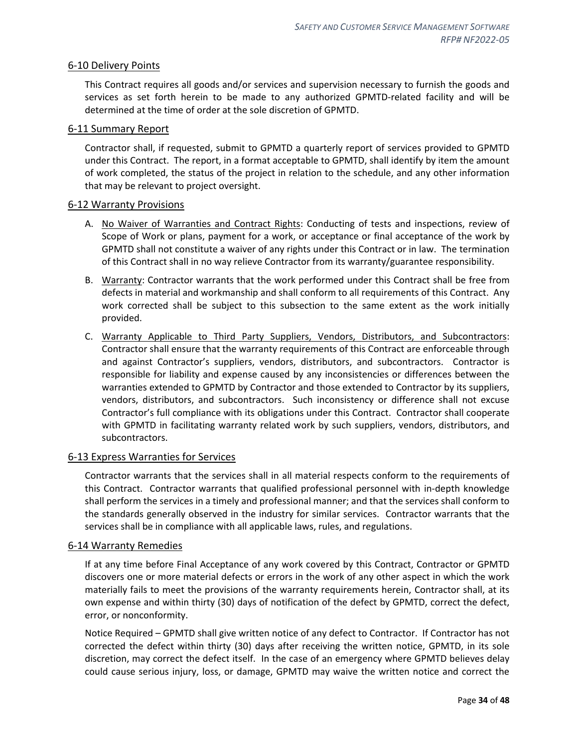## <span id="page-33-0"></span>6-10 Delivery Points

This Contract requires all goods and/or services and supervision necessary to furnish the goods and services as set forth herein to be made to any authorized GPMTD-related facility and will be determined at the time of order at the sole discretion of GPMTD.

## <span id="page-33-1"></span>6-11 Summary Report

Contractor shall, if requested, submit to GPMTD a quarterly report of services provided to GPMTD under this Contract. The report, in a format acceptable to GPMTD, shall identify by item the amount of work completed, the status of the project in relation to the schedule, and any other information that may be relevant to project oversight.

#### <span id="page-33-2"></span>6-12 Warranty Provisions

- A. No Waiver of Warranties and Contract Rights: Conducting of tests and inspections, review of Scope of Work or plans, payment for a work, or acceptance or final acceptance of the work by GPMTD shall not constitute a waiver of any rights under this Contract or in law. The termination of this Contract shall in no way relieve Contractor from its warranty/guarantee responsibility.
- B. Warranty: Contractor warrants that the work performed under this Contract shall be free from defects in material and workmanship and shall conform to all requirements of this Contract. Any work corrected shall be subject to this subsection to the same extent as the work initially provided.
- C. Warranty Applicable to Third Party Suppliers, Vendors, Distributors, and Subcontractors: Contractor shall ensure that the warranty requirements of this Contract are enforceable through and against Contractor's suppliers, vendors, distributors, and subcontractors. Contractor is responsible for liability and expense caused by any inconsistencies or differences between the warranties extended to GPMTD by Contractor and those extended to Contractor by its suppliers, vendors, distributors, and subcontractors. Such inconsistency or difference shall not excuse Contractor's full compliance with its obligations under this Contract. Contractor shall cooperate with GPMTD in facilitating warranty related work by such suppliers, vendors, distributors, and subcontractors.

## <span id="page-33-3"></span>6-13 Express Warranties for Services

Contractor warrants that the services shall in all material respects conform to the requirements of this Contract. Contractor warrants that qualified professional personnel with in-depth knowledge shall perform the services in a timely and professional manner; and that the services shall conform to the standards generally observed in the industry for similar services. Contractor warrants that the services shall be in compliance with all applicable laws, rules, and regulations.

#### <span id="page-33-4"></span>6-14 Warranty Remedies

If at any time before Final Acceptance of any work covered by this Contract, Contractor or GPMTD discovers one or more material defects or errors in the work of any other aspect in which the work materially fails to meet the provisions of the warranty requirements herein, Contractor shall, at its own expense and within thirty (30) days of notification of the defect by GPMTD, correct the defect, error, or nonconformity.

Notice Required – GPMTD shall give written notice of any defect to Contractor. If Contractor has not corrected the defect within thirty (30) days after receiving the written notice, GPMTD, in its sole discretion, may correct the defect itself. In the case of an emergency where GPMTD believes delay could cause serious injury, loss, or damage, GPMTD may waive the written notice and correct the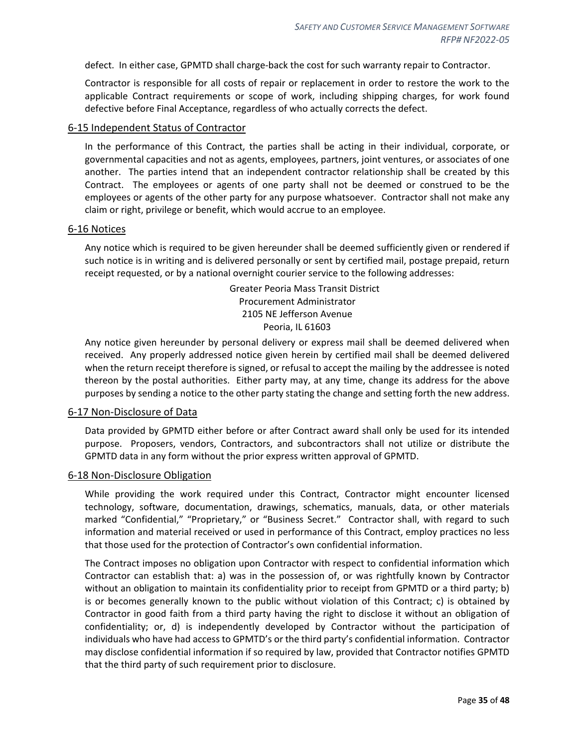defect. In either case, GPMTD shall charge-back the cost for such warranty repair to Contractor.

Contractor is responsible for all costs of repair or replacement in order to restore the work to the applicable Contract requirements or scope of work, including shipping charges, for work found defective before Final Acceptance, regardless of who actually corrects the defect.

#### <span id="page-34-0"></span>6-15 Independent Status of Contractor

In the performance of this Contract, the parties shall be acting in their individual, corporate, or governmental capacities and not as agents, employees, partners, joint ventures, or associates of one another. The parties intend that an independent contractor relationship shall be created by this Contract. The employees or agents of one party shall not be deemed or construed to be the employees or agents of the other party for any purpose whatsoever. Contractor shall not make any claim or right, privilege or benefit, which would accrue to an employee.

#### <span id="page-34-1"></span>6-16 Notices

Any notice which is required to be given hereunder shall be deemed sufficiently given or rendered if such notice is in writing and is delivered personally or sent by certified mail, postage prepaid, return receipt requested, or by a national overnight courier service to the following addresses:

> Greater Peoria Mass Transit District Procurement Administrator 2105 NE Jefferson Avenue Peoria, IL 61603

Any notice given hereunder by personal delivery or express mail shall be deemed delivered when received. Any properly addressed notice given herein by certified mail shall be deemed delivered when the return receipt therefore is signed, or refusal to accept the mailing by the addressee is noted thereon by the postal authorities. Either party may, at any time, change its address for the above purposes by sending a notice to the other party stating the change and setting forth the new address.

#### <span id="page-34-2"></span>6-17 Non-Disclosure of Data

Data provided by GPMTD either before or after Contract award shall only be used for its intended purpose. Proposers, vendors, Contractors, and subcontractors shall not utilize or distribute the GPMTD data in any form without the prior express written approval of GPMTD.

#### <span id="page-34-3"></span>6-18 Non-Disclosure Obligation

While providing the work required under this Contract, Contractor might encounter licensed technology, software, documentation, drawings, schematics, manuals, data, or other materials marked "Confidential," "Proprietary," or "Business Secret." Contractor shall, with regard to such information and material received or used in performance of this Contract, employ practices no less that those used for the protection of Contractor's own confidential information.

The Contract imposes no obligation upon Contractor with respect to confidential information which Contractor can establish that: a) was in the possession of, or was rightfully known by Contractor without an obligation to maintain its confidentiality prior to receipt from GPMTD or a third party; b) is or becomes generally known to the public without violation of this Contract; c) is obtained by Contractor in good faith from a third party having the right to disclose it without an obligation of confidentiality; or, d) is independently developed by Contractor without the participation of individuals who have had access to GPMTD's or the third party's confidential information. Contractor may disclose confidential information if so required by law, provided that Contractor notifies GPMTD that the third party of such requirement prior to disclosure.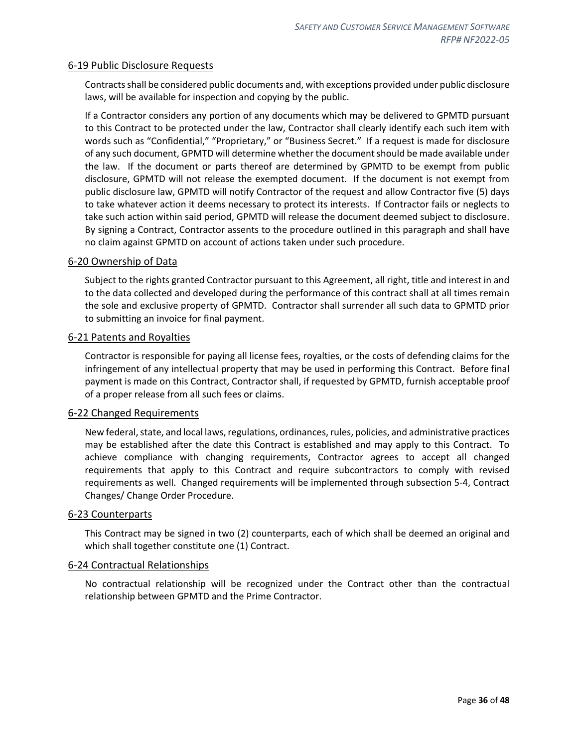#### <span id="page-35-0"></span>6-19 Public Disclosure Requests

Contracts shall be considered public documents and, with exceptions provided under public disclosure laws, will be available for inspection and copying by the public.

If a Contractor considers any portion of any documents which may be delivered to GPMTD pursuant to this Contract to be protected under the law, Contractor shall clearly identify each such item with words such as "Confidential," "Proprietary," or "Business Secret." If a request is made for disclosure of any such document, GPMTD will determine whether the document should be made available under the law. If the document or parts thereof are determined by GPMTD to be exempt from public disclosure, GPMTD will not release the exempted document. If the document is not exempt from public disclosure law, GPMTD will notify Contractor of the request and allow Contractor five (5) days to take whatever action it deems necessary to protect its interests. If Contractor fails or neglects to take such action within said period, GPMTD will release the document deemed subject to disclosure. By signing a Contract, Contractor assents to the procedure outlined in this paragraph and shall have no claim against GPMTD on account of actions taken under such procedure.

#### <span id="page-35-1"></span>6-20 Ownership of Data

Subject to the rights granted Contractor pursuant to this Agreement, all right, title and interest in and to the data collected and developed during the performance of this contract shall at all times remain the sole and exclusive property of GPMTD. Contractor shall surrender all such data to GPMTD prior to submitting an invoice for final payment.

#### <span id="page-35-2"></span>6-21 Patents and Royalties

Contractor is responsible for paying all license fees, royalties, or the costs of defending claims for the infringement of any intellectual property that may be used in performing this Contract. Before final payment is made on this Contract, Contractor shall, if requested by GPMTD, furnish acceptable proof of a proper release from all such fees or claims.

#### <span id="page-35-3"></span>6-22 Changed Requirements

New federal, state, and local laws, regulations, ordinances, rules, policies, and administrative practices may be established after the date this Contract is established and may apply to this Contract. To achieve compliance with changing requirements, Contractor agrees to accept all changed requirements that apply to this Contract and require subcontractors to comply with revised requirements as well. Changed requirements will be implemented through subsection 5-4, Contract Changes/ Change Order Procedure.

#### <span id="page-35-4"></span>6-23 Counterparts

This Contract may be signed in two (2) counterparts, each of which shall be deemed an original and which shall together constitute one (1) Contract.

#### <span id="page-35-5"></span>6-24 Contractual Relationships

No contractual relationship will be recognized under the Contract other than the contractual relationship between GPMTD and the Prime Contractor.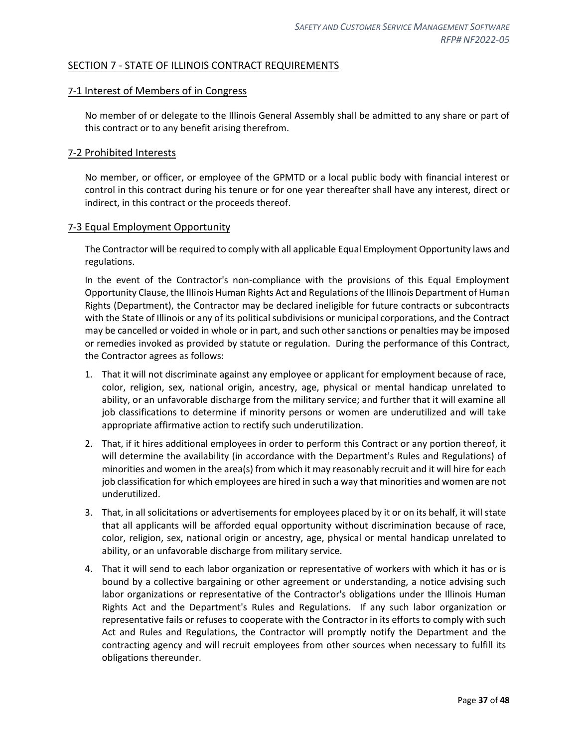## <span id="page-36-0"></span>SECTION 7 - STATE OF ILLINOIS CONTRACT REQUIREMENTS

#### <span id="page-36-1"></span>7-1 Interest of Members of in Congress

No member of or delegate to the Illinois General Assembly shall be admitted to any share or part of this contract or to any benefit arising therefrom.

#### <span id="page-36-2"></span>7-2 Prohibited Interests

No member, or officer, or employee of the GPMTD or a local public body with financial interest or control in this contract during his tenure or for one year thereafter shall have any interest, direct or indirect, in this contract or the proceeds thereof.

#### <span id="page-36-3"></span>7-3 Equal Employment Opportunity

The Contractor will be required to comply with all applicable Equal Employment Opportunity laws and regulations.

In the event of the Contractor's non-compliance with the provisions of this Equal Employment Opportunity Clause, the Illinois Human Rights Act and Regulations of the Illinois Department of Human Rights (Department), the Contractor may be declared ineligible for future contracts or subcontracts with the State of Illinois or any of its political subdivisions or municipal corporations, and the Contract may be cancelled or voided in whole or in part, and such other sanctions or penalties may be imposed or remedies invoked as provided by statute or regulation. During the performance of this Contract, the Contractor agrees as follows:

- 1. That it will not discriminate against any employee or applicant for employment because of race, color, religion, sex, national origin, ancestry, age, physical or mental handicap unrelated to ability, or an unfavorable discharge from the military service; and further that it will examine all job classifications to determine if minority persons or women are underutilized and will take appropriate affirmative action to rectify such underutilization.
- 2. That, if it hires additional employees in order to perform this Contract or any portion thereof, it will determine the availability (in accordance with the Department's Rules and Regulations) of minorities and women in the area(s) from which it may reasonably recruit and it will hire for each job classification for which employees are hired in such a way that minorities and women are not underutilized.
- 3. That, in all solicitations or advertisements for employees placed by it or on its behalf, it will state that all applicants will be afforded equal opportunity without discrimination because of race, color, religion, sex, national origin or ancestry, age, physical or mental handicap unrelated to ability, or an unfavorable discharge from military service.
- 4. That it will send to each labor organization or representative of workers with which it has or is bound by a collective bargaining or other agreement or understanding, a notice advising such labor organizations or representative of the Contractor's obligations under the Illinois Human Rights Act and the Department's Rules and Regulations. If any such labor organization or representative fails or refuses to cooperate with the Contractor in its efforts to comply with such Act and Rules and Regulations, the Contractor will promptly notify the Department and the contracting agency and will recruit employees from other sources when necessary to fulfill its obligations thereunder.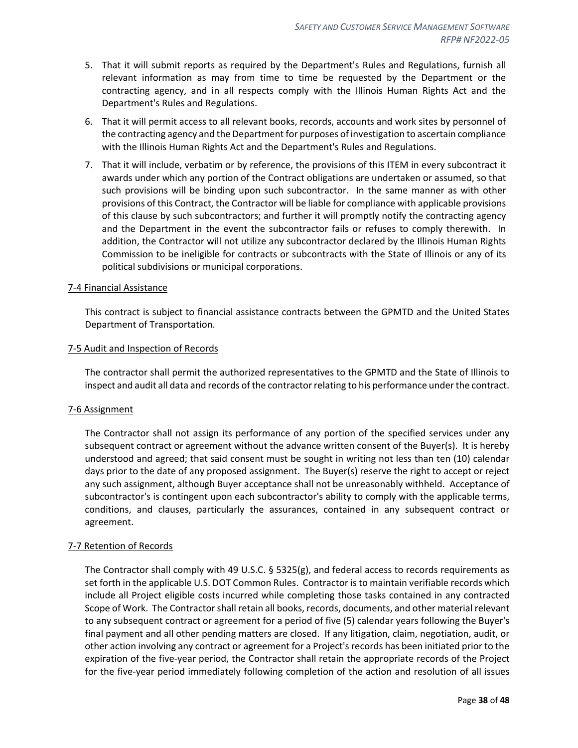- 5. That it will submit reports as required by the Department's Rules and Regulations, furnish all relevant information as may from time to time be requested by the Department or the contracting agency, and in all respects comply with the Illinois Human Rights Act and the Department's Rules and Regulations.
- 6. That it will permit access to all relevant books, records, accounts and work sites by personnel of the contracting agency and the Department for purposes of investigation to ascertain compliance with the Illinois Human Rights Act and the Department's Rules and Regulations.
- 7. That it will include, verbatim or by reference, the provisions of this ITEM in every subcontract it awards under which any portion of the Contract obligations are undertaken or assumed, so that such provisions will be binding upon such subcontractor. In the same manner as with other provisions of this Contract, the Contractor will be liable for compliance with applicable provisions of this clause by such subcontractors; and further it will promptly notify the contracting agency and the Department in the event the subcontractor fails or refuses to comply therewith. In addition, the Contractor will not utilize any subcontractor declared by the Illinois Human Rights Commission to be ineligible for contracts or subcontracts with the State of Illinois or any of its political subdivisions or municipal corporations.

#### <span id="page-37-0"></span>7-4 Financial Assistance

This contract is subject to financial assistance contracts between the GPMTD and the United States Department of Transportation.

#### <span id="page-37-1"></span>7-5 Audit and Inspection of Records

The contractor shall permit the authorized representatives to the GPMTD and the State of Illinois to inspect and audit all data and records of the contractor relating to his performance under the contract.

#### <span id="page-37-2"></span>7-6 Assignment

The Contractor shall not assign its performance of any portion of the specified services under any subsequent contract or agreement without the advance written consent of the Buyer(s). It is hereby understood and agreed; that said consent must be sought in writing not less than ten (10) calendar days prior to the date of any proposed assignment. The Buyer(s) reserve the right to accept or reject any such assignment, although Buyer acceptance shall not be unreasonably withheld. Acceptance of subcontractor's is contingent upon each subcontractor's ability to comply with the applicable terms, conditions, and clauses, particularly the assurances, contained in any subsequent contract or agreement.

#### <span id="page-37-3"></span>7-7 Retention of Records

The Contractor shall comply with 49 U.S.C.  $\S$  5325(g), and federal access to records requirements as set forth in the applicable U.S. DOT Common Rules. Contractor is to maintain verifiable records which include all Project eligible costs incurred while completing those tasks contained in any contracted Scope of Work. The Contractor shall retain all books, records, documents, and other material relevant to any subsequent contract or agreement for a period of five (5) calendar years following the Buyer's final payment and all other pending matters are closed. If any litigation, claim, negotiation, audit, or other action involving any contract or agreement for a Project's records has been initiated prior to the expiration of the five-year period, the Contractor shall retain the appropriate records of the Project for the five-year period immediately following completion of the action and resolution of all issues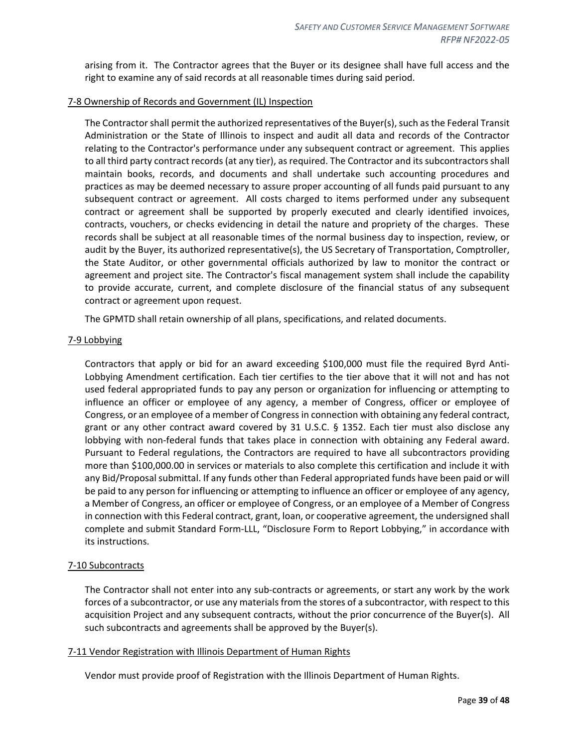arising from it. The Contractor agrees that the Buyer or its designee shall have full access and the right to examine any of said records at all reasonable times during said period.

#### <span id="page-38-0"></span>7-8 Ownership of Records and Government (IL) Inspection

The Contractor shall permit the authorized representatives of the Buyer(s), such as the Federal Transit Administration or the State of Illinois to inspect and audit all data and records of the Contractor relating to the Contractor's performance under any subsequent contract or agreement. This applies to all third party contract records (at any tier), as required. The Contractor and its subcontractors shall maintain books, records, and documents and shall undertake such accounting procedures and practices as may be deemed necessary to assure proper accounting of all funds paid pursuant to any subsequent contract or agreement. All costs charged to items performed under any subsequent contract or agreement shall be supported by properly executed and clearly identified invoices, contracts, vouchers, or checks evidencing in detail the nature and propriety of the charges. These records shall be subject at all reasonable times of the normal business day to inspection, review, or audit by the Buyer, its authorized representative(s), the US Secretary of Transportation, Comptroller, the State Auditor, or other governmental officials authorized by law to monitor the contract or agreement and project site. The Contractor's fiscal management system shall include the capability to provide accurate, current, and complete disclosure of the financial status of any subsequent contract or agreement upon request.

The GPMTD shall retain ownership of all plans, specifications, and related documents.

#### <span id="page-38-1"></span>7-9 Lobbying

Contractors that apply or bid for an award exceeding \$100,000 must file the required Byrd Anti-Lobbying Amendment certification. Each tier certifies to the tier above that it will not and has not used federal appropriated funds to pay any person or organization for influencing or attempting to influence an officer or employee of any agency, a member of Congress, officer or employee of Congress, or an employee of a member of Congress in connection with obtaining any federal contract, grant or any other contract award covered by 31 U.S.C. § 1352. Each tier must also disclose any lobbying with non-federal funds that takes place in connection with obtaining any Federal award. Pursuant to Federal regulations, the Contractors are required to have all subcontractors providing more than \$100,000.00 in services or materials to also complete this certification and include it with any Bid/Proposal submittal. If any funds other than Federal appropriated funds have been paid or will be paid to any person for influencing or attempting to influence an officer or employee of any agency, a Member of Congress, an officer or employee of Congress, or an employee of a Member of Congress in connection with this Federal contract, grant, loan, or cooperative agreement, the undersigned shall complete and submit Standard Form-LLL, "Disclosure Form to Report Lobbying," in accordance with its instructions.

#### <span id="page-38-2"></span>7-10 Subcontracts

The Contractor shall not enter into any sub-contracts or agreements, or start any work by the work forces of a subcontractor, or use any materials from the stores of a subcontractor, with respect to this acquisition Project and any subsequent contracts, without the prior concurrence of the Buyer(s). All such subcontracts and agreements shall be approved by the Buyer(s).

#### <span id="page-38-3"></span>7-11 Vendor Registration with Illinois Department of Human Rights

Vendor must provide proof of Registration with the Illinois Department of Human Rights.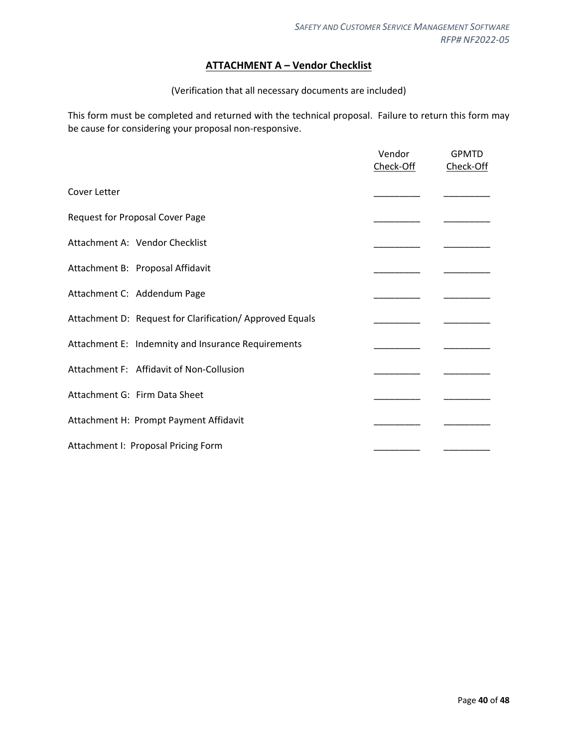## **ATTACHMENT A – Vendor Checklist**

#### (Verification that all necessary documents are included)

<span id="page-39-0"></span>This form must be completed and returned with the technical proposal. Failure to return this form may be cause for considering your proposal non-responsive.

|                                                         | Vendor<br>Check-Off | <b>GPMTD</b><br>Check-Off |
|---------------------------------------------------------|---------------------|---------------------------|
| Cover Letter                                            |                     |                           |
| <b>Request for Proposal Cover Page</b>                  |                     |                           |
| Attachment A: Vendor Checklist                          |                     |                           |
| Attachment B: Proposal Affidavit                        |                     |                           |
| Attachment C: Addendum Page                             |                     |                           |
| Attachment D: Request for Clarification/Approved Equals |                     |                           |
| Attachment E: Indemnity and Insurance Requirements      |                     |                           |
| Attachment F: Affidavit of Non-Collusion                |                     |                           |
| Attachment G: Firm Data Sheet                           |                     |                           |
| Attachment H: Prompt Payment Affidavit                  |                     |                           |
| Attachment I: Proposal Pricing Form                     |                     |                           |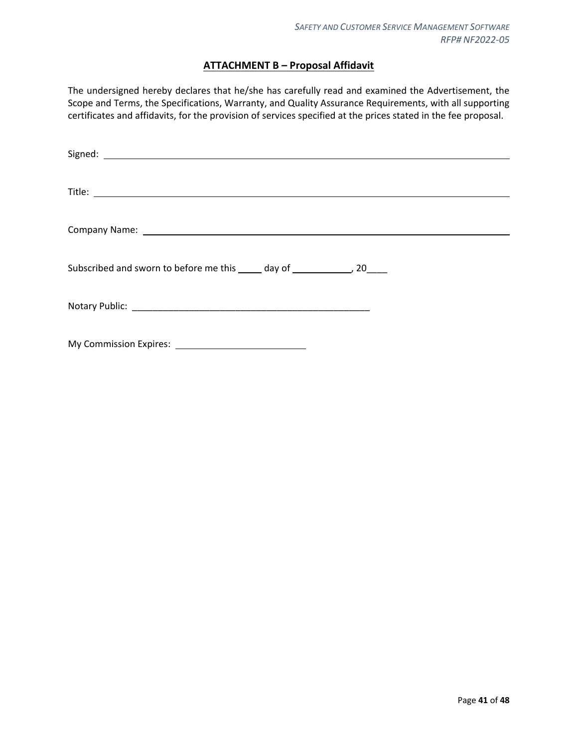## **ATTACHMENT B – Proposal Affidavit**

<span id="page-40-0"></span>The undersigned hereby declares that he/she has carefully read and examined the Advertisement, the Scope and Terms, the Specifications, Warranty, and Quality Assurance Requirements, with all supporting certificates and affidavits, for the provision of services specified at the prices stated in the fee proposal.

| Subscribed and sworn to before me this _____ day of _______________, 20_____ |
|------------------------------------------------------------------------------|
|                                                                              |
|                                                                              |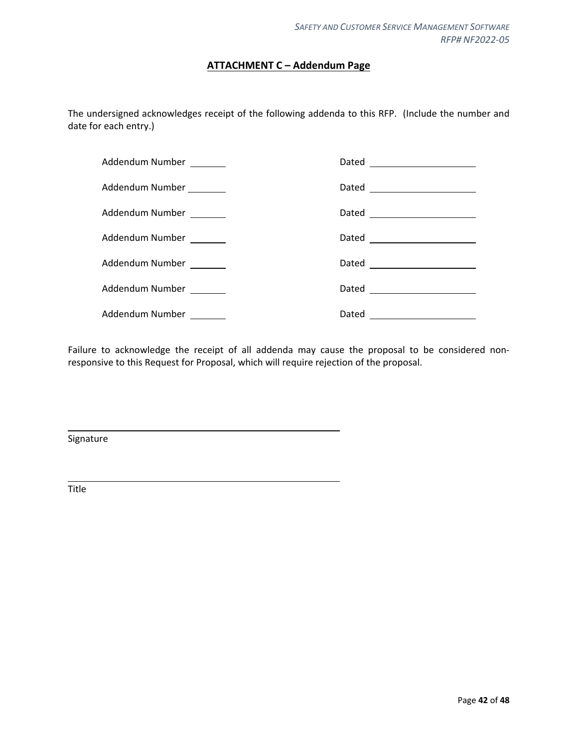## **ATTACHMENT C – Addendum Page**

<span id="page-41-0"></span>The undersigned acknowledges receipt of the following addenda to this RFP. (Include the number and date for each entry.)

| Addendum Number _______  |                               |
|--------------------------|-------------------------------|
| Addendum Number ________ |                               |
| Addendum Number _______  | Dated ______________________  |
| Addendum Number _______  | Dated _______________________ |
| Addendum Number _______  | Dated ______________________  |
| Addendum Number _______  | Dated _______________________ |
| Addendum Number _______  |                               |

Failure to acknowledge the receipt of all addenda may cause the proposal to be considered nonresponsive to this Request for Proposal, which will require rejection of the proposal.

Signature

Title

L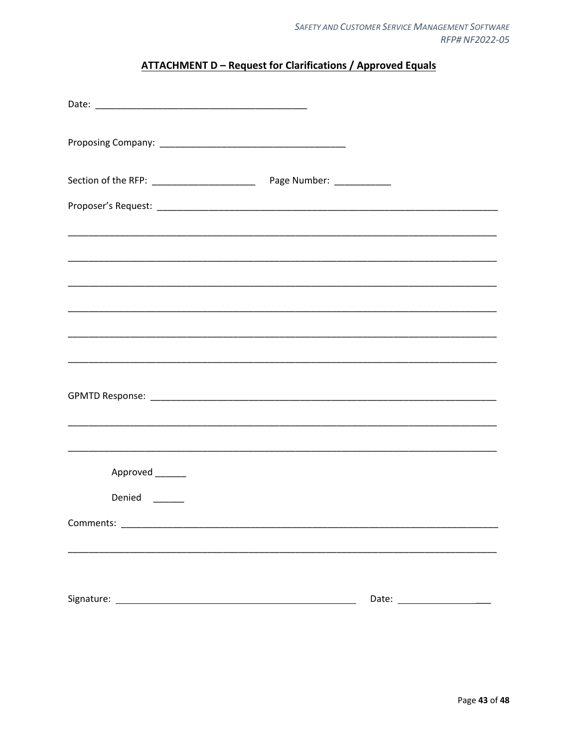## **ATTACHMENT D - Request for Clarifications / Approved Equals**

<span id="page-42-0"></span>

|                    | <u> 1989 - Johann Stoff, deutscher Stoff, der Stoff, der Stoff, der Stoff, der Stoff, der Stoff, der Stoff, der S</u> |
|--------------------|-----------------------------------------------------------------------------------------------------------------------|
| Approved _______   |                                                                                                                       |
| Denied<br>________ |                                                                                                                       |
|                    |                                                                                                                       |
|                    |                                                                                                                       |
|                    |                                                                                                                       |
|                    |                                                                                                                       |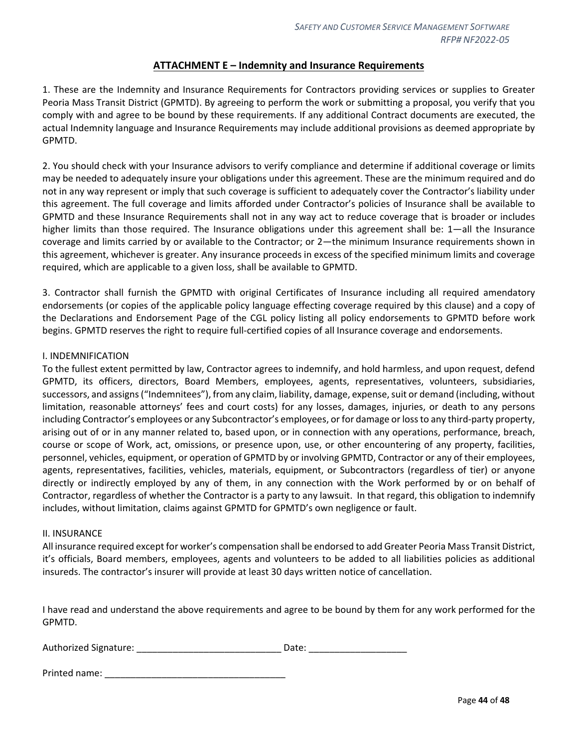## **ATTACHMENT E – Indemnity and Insurance Requirements**

<span id="page-43-0"></span>1. These are the Indemnity and Insurance Requirements for Contractors providing services or supplies to Greater Peoria Mass Transit District (GPMTD). By agreeing to perform the work or submitting a proposal, you verify that you comply with and agree to be bound by these requirements. If any additional Contract documents are executed, the actual Indemnity language and Insurance Requirements may include additional provisions as deemed appropriate by GPMTD.

2. You should check with your Insurance advisors to verify compliance and determine if additional coverage or limits may be needed to adequately insure your obligations under this agreement. These are the minimum required and do not in any way represent or imply that such coverage is sufficient to adequately cover the Contractor's liability under this agreement. The full coverage and limits afforded under Contractor's policies of Insurance shall be available to GPMTD and these Insurance Requirements shall not in any way act to reduce coverage that is broader or includes higher limits than those required. The Insurance obligations under this agreement shall be: 1—all the Insurance coverage and limits carried by or available to the Contractor; or 2—the minimum Insurance requirements shown in this agreement, whichever is greater. Any insurance proceeds in excess of the specified minimum limits and coverage required, which are applicable to a given loss, shall be available to GPMTD.

3. Contractor shall furnish the GPMTD with original Certificates of Insurance including all required amendatory endorsements (or copies of the applicable policy language effecting coverage required by this clause) and a copy of the Declarations and Endorsement Page of the CGL policy listing all policy endorsements to GPMTD before work begins. GPMTD reserves the right to require full-certified copies of all Insurance coverage and endorsements.

#### I. INDEMNIFICATION

To the fullest extent permitted by law, Contractor agrees to indemnify, and hold harmless, and upon request, defend GPMTD, its officers, directors, Board Members, employees, agents, representatives, volunteers, subsidiaries, successors, and assigns ("Indemnitees"), from any claim, liability, damage, expense, suit or demand (including, without limitation, reasonable attorneys' fees and court costs) for any losses, damages, injuries, or death to any persons including Contractor's employees or any Subcontractor's employees, or for damage or loss to any third-party property, arising out of or in any manner related to, based upon, or in connection with any operations, performance, breach, course or scope of Work, act, omissions, or presence upon, use, or other encountering of any property, facilities, personnel, vehicles, equipment, or operation of GPMTD by or involving GPMTD, Contractor or any of their employees, agents, representatives, facilities, vehicles, materials, equipment, or Subcontractors (regardless of tier) or anyone directly or indirectly employed by any of them, in any connection with the Work performed by or on behalf of Contractor, regardless of whether the Contractor is a party to any lawsuit. In that regard, this obligation to indemnify includes, without limitation, claims against GPMTD for GPMTD's own negligence or fault.

#### II. INSURANCE

All insurance required except for worker's compensation shall be endorsed to add Greater Peoria Mass Transit District, it's officials, Board members, employees, agents and volunteers to be added to all liabilities policies as additional insureds. The contractor's insurer will provide at least 30 days written notice of cancellation.

I have read and understand the above requirements and agree to be bound by them for any work performed for the GPMTD.

| Authorized Signature: |  | Date: |
|-----------------------|--|-------|
|-----------------------|--|-------|

| Printed name: |  |
|---------------|--|
|               |  |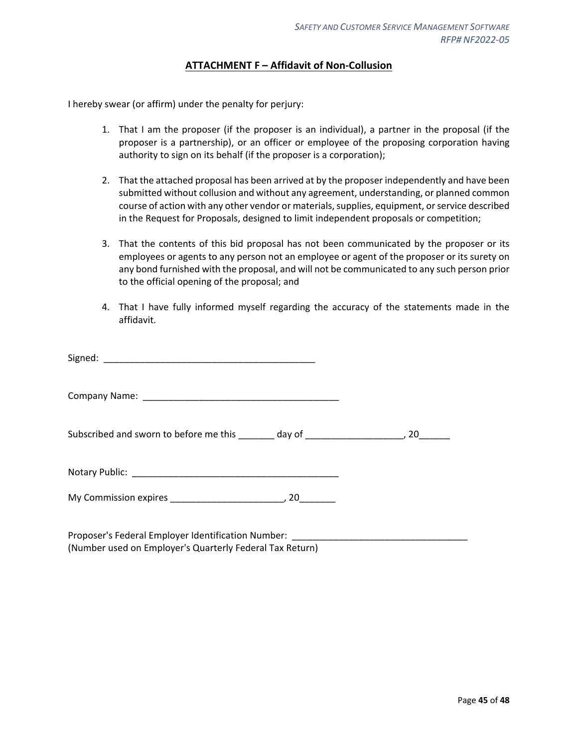## **ATTACHMENT F – Affidavit of Non-Collusion**

<span id="page-44-0"></span>I hereby swear (or affirm) under the penalty for perjury:

- 1. That I am the proposer (if the proposer is an individual), a partner in the proposal (if the proposer is a partnership), or an officer or employee of the proposing corporation having authority to sign on its behalf (if the proposer is a corporation);
- 2. That the attached proposal has been arrived at by the proposer independently and have been submitted without collusion and without any agreement, understanding, or planned common course of action with any other vendor or materials, supplies, equipment, or service described in the Request for Proposals, designed to limit independent proposals or competition;
- 3. That the contents of this bid proposal has not been communicated by the proposer or its employees or agents to any person not an employee or agent of the proposer or its surety on any bond furnished with the proposal, and will not be communicated to any such person prior to the official opening of the proposal; and
- 4. That I have fully informed myself regarding the accuracy of the statements made in the affidavit.

| Subscribed and sworn to before me this _______ day of ___________________________, 20_______ |  |
|----------------------------------------------------------------------------------------------|--|
|                                                                                              |  |
|                                                                                              |  |
|                                                                                              |  |

Proposer's Federal Employer Identification Number: (Number used on Employer's Quarterly Federal Tax Return)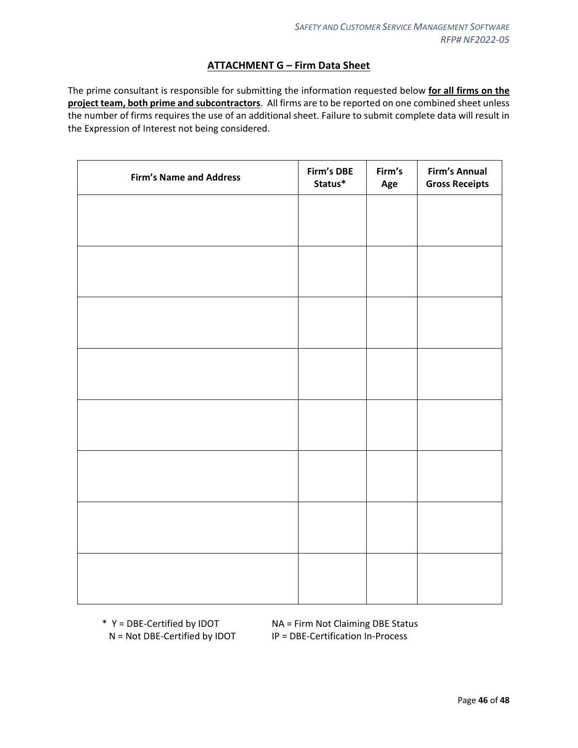## **ATTACHMENT G – Firm Data Sheet**

<span id="page-45-0"></span>The prime consultant is responsible for submitting the information requested below **for all firms on the project team, both prime and subcontractors**. All firms are to be reported on one combined sheet unless the number of firms requires the use of an additional sheet. Failure to submit complete data will result in the Expression of Interest not being considered.

| Firm's DBE<br>Status* | Firm's<br>Age | <b>Firm's Annual</b><br><b>Gross Receipts</b> |
|-----------------------|---------------|-----------------------------------------------|
|                       |               |                                               |
|                       |               |                                               |
|                       |               |                                               |
|                       |               |                                               |
|                       |               |                                               |
|                       |               |                                               |
|                       |               |                                               |
|                       |               |                                               |
|                       |               |                                               |
|                       |               |                                               |
|                       |               |                                               |
|                       |               |                                               |
|                       |               |                                               |
|                       |               |                                               |
|                       |               |                                               |
|                       |               |                                               |
|                       |               |                                               |

\* Y = DBE-Certified by IDOT NA = Firm Not Claiming DBE Status N = Not DBE-Certified by IDOT IP = DBE-Certification In-Process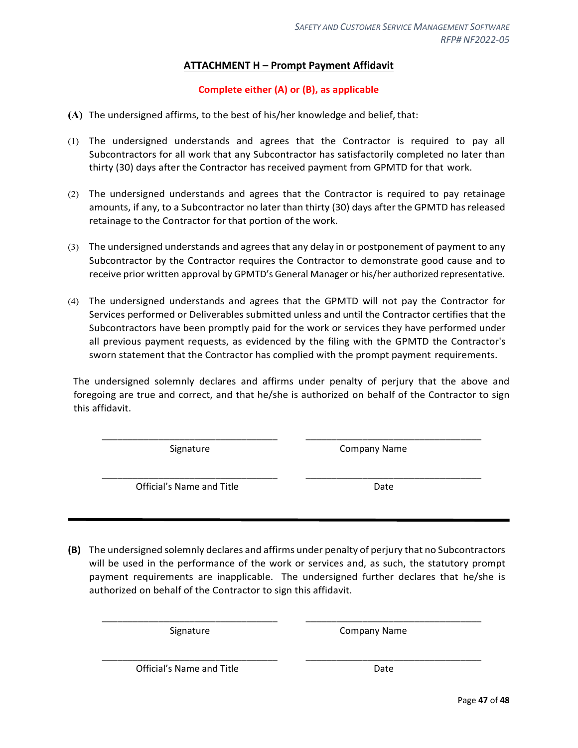## **ATTACHMENT H – Prompt Payment Affidavit**

## **Complete either (A) or (B), as applicable**

- <span id="page-46-0"></span>**(A)** The undersigned affirms, to the best of his/her knowledge and belief, that:
- (1) The undersigned understands and agrees that the Contractor is required to pay all Subcontractors for all work that any Subcontractor has satisfactorily completed no later than thirty (30) days after the Contractor has received payment from GPMTD for that work.
- (2) The undersigned understands and agrees that the Contractor is required to pay retainage amounts, if any, to a Subcontractor no later than thirty (30) days after the GPMTD hasreleased retainage to the Contractor for that portion of the work.
- (3) The undersigned understands and agrees that any delay in or postponement of payment to any Subcontractor by the Contractor requires the Contractor to demonstrate good cause and to receive prior written approval by GPMTD's General Manager or his/her authorized representative.
- (4) The undersigned understands and agrees that the GPMTD will not pay the Contractor for Services performed or Deliverables submitted unless and until the Contractor certifies that the Subcontractors have been promptly paid for the work or services they have performed under all previous payment requests, as evidenced by the filing with the GPMTD the Contractor's sworn statement that the Contractor has complied with the prompt payment requirements.

The undersigned solemnly declares and affirms under penalty of perjury that the above and foregoing are true and correct, and that he/she is authorized on behalf of the Contractor to sign this affidavit.

\_\_\_\_\_\_\_\_\_\_\_\_\_\_\_\_\_\_\_\_\_\_\_\_\_\_\_\_\_\_\_\_\_\_ \_\_\_\_\_\_\_\_\_\_\_\_\_\_\_\_\_\_\_\_\_\_\_\_\_\_\_\_\_\_\_\_\_\_

\_\_\_\_\_\_\_\_\_\_\_\_\_\_\_\_\_\_\_\_\_\_\_\_\_\_\_\_\_\_\_\_\_\_ \_\_\_\_\_\_\_\_\_\_\_\_\_\_\_\_\_\_\_\_\_\_\_\_\_\_\_\_\_\_\_\_\_\_

Signature Company Name

Official's Name and Title **Date** Date

**(B)** The undersigned solemnly declares and affirms under penalty of perjury that no Subcontractors will be used in the performance of the work or services and, as such, the statutory prompt payment requirements are inapplicable. The undersigned further declares that he/she is authorized on behalf of the Contractor to sign this affidavit.

\_\_\_\_\_\_\_\_\_\_\_\_\_\_\_\_\_\_\_\_\_\_\_\_\_\_\_\_\_\_\_\_\_\_ \_\_\_\_\_\_\_\_\_\_\_\_\_\_\_\_\_\_\_\_\_\_\_\_\_\_\_\_\_\_\_\_\_\_

\_\_\_\_\_\_\_\_\_\_\_\_\_\_\_\_\_\_\_\_\_\_\_\_\_\_\_\_\_\_\_\_\_\_ \_\_\_\_\_\_\_\_\_\_\_\_\_\_\_\_\_\_\_\_\_\_\_\_\_\_\_\_\_\_\_\_\_\_

Signature Company Name

Official's Name and Title Date Date